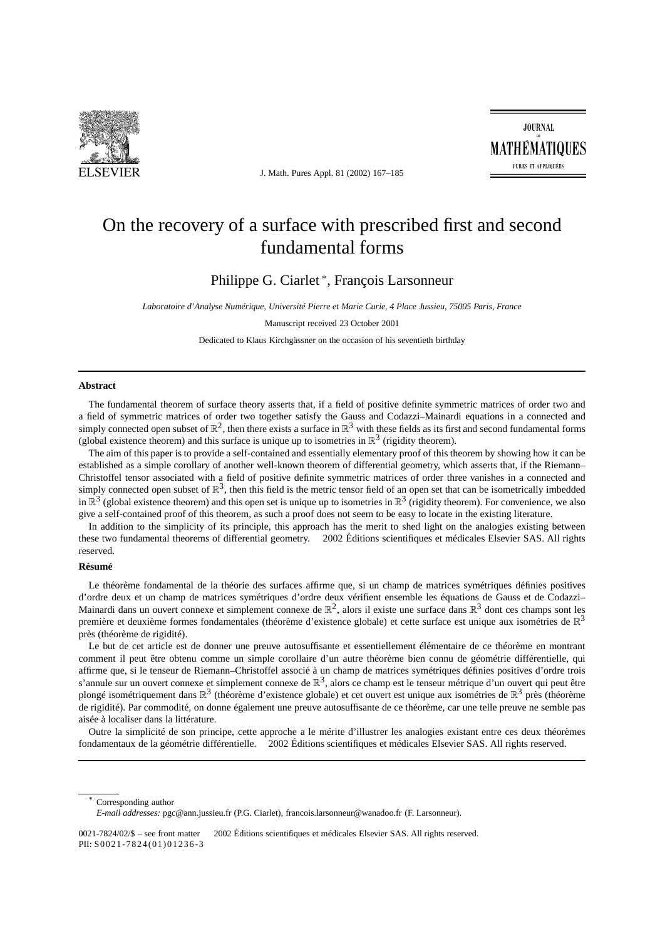

J. Math. Pures Appl. 81 (2002) 167–185

# On the recovery of a surface with prescribed first and second fundamental forms

Philippe G. Ciarlet <sup>∗</sup> , François Larsonneur

*Laboratoire d'Analyse Numérique, Université Pierre et Marie Curie, 4 Place Jussieu, 75005 Paris, France*

#### Manuscript received 23 October 2001

Dedicated to Klaus Kirchgässner on the occasion of his seventieth birthday

## **Abstract**

The fundamental theorem of surface theory asserts that, if a field of positive definite symmetric matrices of order two and a field of symmetric matrices of order two together satisfy the Gauss and Codazzi–Mainardi equations in a connected and simply connected open subset of  $\mathbb{R}^2$ , then there exists a surface in  $\mathbb{R}^3$  with these fields as its first and second fundamental forms (global existence theorem) and this surface is unique up to isometries in  $\mathbb{R}^3$  (rigidity theorem).

The aim of this paper is to provide a self-contained and essentially elementary proof of this theorem by showing how it can be established as a simple corollary of another well-known theorem of differential geometry, which asserts that, if the Riemann– Christoffel tensor associated with a field of positive definite symmetric matrices of order three vanishes in a connected and simply connected open subset of  $\mathbb{R}^3$ , then this field is the metric tensor field of an open set that can be isometrically imbedded in  $\mathbb{R}^3$  (global existence theorem) and this open set is unique up to isometries in  $\mathbb{R}^3$  (rigidity theorem). For convenience, we also give a self-contained proof of this theorem, as such a proof does not seem to be easy to locate in the existing literature.

In addition to the simplicity of its principle, this approach has the merit to shed light on the analogies existing between these two fundamental theorems of differential geometry.  $\odot$  2002 Éditions scientifiques et médicales Elsevier SAS. All rights reserved.

## **Résumé**

Le théorème fondamental de la théorie des surfaces affirme que, si un champ de matrices symétriques définies positives d'ordre deux et un champ de matrices symétriques d'ordre deux vérifient ensemble les équations de Gauss et de Codazzi– Mainardi dans un ouvert connexe et simplement connexe de  $\mathbb{R}^2$ , alors il existe une surface dans  $\mathbb{R}^3$  dont ces champs sont les première et deuxième formes fondamentales (théorème d'existence globale) et cette surface est unique aux isométries de  $\mathbb{R}^3$ près (théorème de rigidité).

Le but de cet article est de donner une preuve autosuffisante et essentiellement élémentaire de ce théorème en montrant comment il peut être obtenu comme un simple corollaire d'un autre théorème bien connu de géométrie différentielle, qui affirme que, si le tenseur de Riemann–Christoffel associé à un champ de matrices symétriques définies positives d'ordre trois s'annule sur un ouvert connexe et simplement connexe de  $\mathbb{R}^3$ , alors ce champ est le tenseur métrique d'un ouvert qui peut être plongé isométriquement dans  $\mathbb{R}^3$  (théorème d'existence globale) et cet ouvert est unique aux isométries de  $\mathbb{R}^3$  près (théorème de rigidité). Par commodité, on donne également une preuve autosuffisante de ce théorème, car une telle preuve ne semble pas aisée à localiser dans la littérature.

Outre la simplicité de son principe, cette approche a le mérite d'illustrer les analogies existant entre ces deux théorèmes fondamentaux de la géométrie différentielle. © 2002 Éditions scientifiques et médicales Elsevier SAS. All rights reserved.

Corresponding author

*E-mail addresses:* pgc@ann.jussieu.fr (P.G. Ciarlet), francois.larsonneur@wanadoo.fr (F. Larsonneur).

0021-7824/02/\$ – see front matter 2002 Éditions scientifiques et médicales Elsevier SAS. All rights reserved. PII: S0021-7824(01)01236-3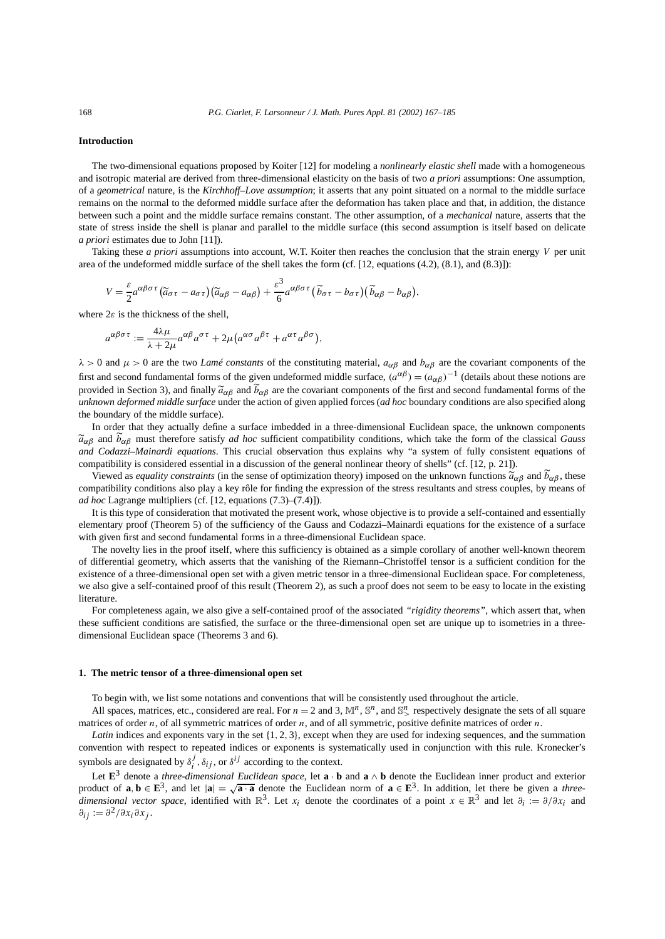## **Introduction**

The two-dimensional equations proposed by Koiter [12] for modeling a *nonlinearly elastic shell* made with a homogeneous and isotropic material are derived from three-dimensional elasticity on the basis of two *a priori* assumptions: One assumption, of a *geometrical* nature, is the *Kirchhoff–Love assumption*; it asserts that any point situated on a normal to the middle surface remains on the normal to the deformed middle surface after the deformation has taken place and that, in addition, the distance between such a point and the middle surface remains constant. The other assumption, of a *mechanical* nature, asserts that the state of stress inside the shell is planar and parallel to the middle surface (this second assumption is itself based on delicate *a priori* estimates due to John [11]).

Taking these *a priori* assumptions into account, W.T. Koiter then reaches the conclusion that the strain energy *V* per unit area of the undeformed middle surface of the shell takes the form (cf. [12, equations (4.2), (8.1), and (8.3)]):

$$
V = \frac{\varepsilon}{2} a^{\alpha\beta\sigma\tau} (\widetilde{a}_{\sigma\tau} - a_{\sigma\tau}) (\widetilde{a}_{\alpha\beta} - a_{\alpha\beta}) + \frac{\varepsilon^3}{6} a^{\alpha\beta\sigma\tau} (\widetilde{b}_{\sigma\tau} - b_{\sigma\tau}) (\widetilde{b}_{\alpha\beta} - b_{\alpha\beta}),
$$

where  $2\varepsilon$  is the thickness of the shell.

$$
a^{\alpha\beta\sigma\tau} := \frac{4\lambda\mu}{\lambda + 2\mu} a^{\alpha\beta} a^{\sigma\tau} + 2\mu (a^{\alpha\sigma} a^{\beta\tau} + a^{\alpha\tau} a^{\beta\sigma}),
$$

 $λ$  > 0 and  $μ$  > 0 are the two *Lamé constants* of the constituting material,  $a_{\alpha\beta}$  and  $b_{\alpha\beta}$  are the covariant components of the first and second fundamental forms of the given undeformed middle surface,  $(a^{\alpha\beta}) = (a_{\alpha\beta})^{-1}$  (details about these notions are provided in Section 3), and finally  $\tilde{a}_{\alpha\beta}$  and  $b_{\alpha\beta}$  are the covariant components of the first and second fundamental forms of the *unknown deformed middle surface* under the action of given applied forces (*ad hoc* boundary conditions are also specified along the boundary of the middle surface).

In order that they actually define a surface imbedded in a three-dimensional Euclidean space, the unknown components  $\tilde{a}_{\alpha\beta}$  and  $b_{\alpha\beta}$  must therefore satisfy *ad hoc* sufficient compatibility conditions, which take the form of the classical *Gauss and Codazzi–Mainardi equations*. This crucial observation thus explains why "a system of fully consistent equations of compatibility is considered essential in a discussion of the general nonlinear theory of shells" (cf. [12, p. 21]).

Viewed as *equality constraints* (in the sense of optimization theory) imposed on the unknown functions  $\tilde{a}_{\alpha\beta}$  and  $b_{\alpha\beta}$ , these compatibility conditions also play a key rôle for finding the expression of the stress resultants and stress couples, by means of *ad hoc* Lagrange multipliers (cf. [12, equations (7.3)–(7.4)]).

It is this type of consideration that motivated the present work, whose objective is to provide a self-contained and essentially elementary proof (Theorem 5) of the sufficiency of the Gauss and Codazzi–Mainardi equations for the existence of a surface with given first and second fundamental forms in a three-dimensional Euclidean space.

The novelty lies in the proof itself, where this sufficiency is obtained as a simple corollary of another well-known theorem of differential geometry, which asserts that the vanishing of the Riemann–Christoffel tensor is a sufficient condition for the existence of a three-dimensional open set with a given metric tensor in a three-dimensional Euclidean space. For completeness, we also give a self-contained proof of this result (Theorem 2), as such a proof does not seem to be easy to locate in the existing literature.

For completeness again, we also give a self-contained proof of the associated *"rigidity theorems"*, which assert that, when these sufficient conditions are satisfied, the surface or the three-dimensional open set are unique up to isometries in a threedimensional Euclidean space (Theorems 3 and 6).

### **1. The metric tensor of a three-dimensional open set**

To begin with, we list some notations and conventions that will be consistently used throughout the article.

All spaces, matrices, etc., considered are real. For  $n = 2$  and 3,  $\mathbb{M}^n$ ,  $\mathbb{S}^n$ , and  $\mathbb{S}^n$  respectively designate the sets of all square matrices of order *n*, of all symmetric matrices of order *n*, and of all symmetric, positive definite matrices of order *n*.

*Latin* indices and exponents vary in the set {1*,* 2*,* 3}, except when they are used for indexing sequences, and the summation convention with respect to repeated indices or exponents is systematically used in conjunction with this rule. Kronecker's symbols are designated by  $\delta_i^j$ ,  $\delta_{ij}$ , or  $\delta^{ij}$  according to the context.

Let  $\mathbf{E}^3$  denote a *three-dimensional Euclidean space*, let  $\mathbf{a} \cdot \mathbf{b}$  and  $\mathbf{a} \wedge \mathbf{b}$  denote the Euclidean inner product and exterior product of  $\mathbf{a}, \mathbf{b} \in \mathbf{E}^3$ , and let  $|\mathbf{a}| = \sqrt{\mathbf{a} \cdot \mathbf{a}}$  denote the Euclidean norm of  $\mathbf{a} \in \mathbf{E}^3$ . In addition, let there be given a *threedimensional vector space*, identified with  $\mathbb{R}^3$ . Let *x<sub>i</sub>* denote the coordinates of a point  $x \in \mathbb{R}^3$  and let  $\partial_i := \partial/\partial x_i$  and *∂ij* := *∂*2*/∂xi ∂xj* .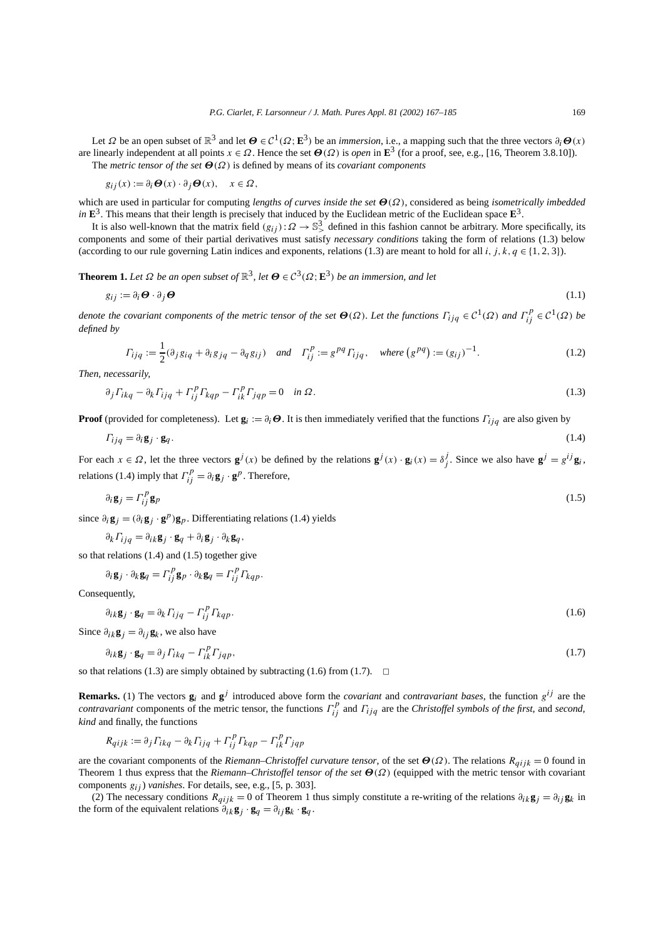Let *Ω* be an open subset of  $\mathbb{R}^3$  and let *Θ* ∈  $\mathcal{C}^1(\Omega; \mathbf{E}^3)$  be an *immersion*, i.e., a mapping such that the three vectors  $\partial_i$ *Θ*(*x*) are linearly independent at all points  $x \in \Omega$ . Hence the set  $\Theta(\Omega)$  is *open* in **E**<sup>3</sup> (for a proof, see, e.g., [16, Theorem 3.8.10]). The *metric tensor of the set Θ(Ω)* is defined by means of its *covariant components*

$$
g_{ij}(x) := \partial_i \mathbf{\Theta}(x) \cdot \partial_j \mathbf{\Theta}(x), \quad x \in \Omega,
$$

which are used in particular for computing *lengths of curves inside the set Θ(Ω)*, considered as being *isometrically imbedded in*  $\mathbf{E}^3$ . This means that their length is precisely that induced by the Euclidean metric of the Euclidean space  $\mathbf{E}^3$ .

It is also well-known that the matrix field  $(g_{ij}): \Omega \to \mathbb{S}^3$  defined in this fashion cannot be arbitrary. More specifically, its components and some of their partial derivatives must satisfy *necessary conditions* taking the form of relations (1.3) below (according to our rule governing Latin indices and exponents, relations (1.3) are meant to hold for all *i*, *j*, *k*,  $q \in \{1, 2, 3\}$ .

**Theorem 1.** *Let*  $\Omega$  *be an open subset of*  $\mathbb{R}^3$ , *let*  $\Theta \in C^3(\Omega; \mathbb{E}^3)$  *be an immersion, and let* 

$$
g_{ij} := \partial_i \boldsymbol{\Theta} \cdot \partial_j \boldsymbol{\Theta} \tag{1.1}
$$

*denote the covariant components of the metric tensor of the set*  $\Theta(\Omega)$ *. Let the functions*  $\Gamma_{ijq} \in C^1(\Omega)$  and  $\Gamma_{ij}^p \in C^1(\Omega)$  be *defined by*

$$
\Gamma_{ijq} := \frac{1}{2} (\partial_j g_{iq} + \partial_i g_{jq} - \partial_q g_{ij}) \quad \text{and} \quad \Gamma_{ij}^p := g^{pq} \Gamma_{ijq}, \quad \text{where } (g^{pq}) := (g_{ij})^{-1}.
$$
\n
$$
(1.2)
$$

*Then, necessarily,*

$$
\partial_j \Gamma_{ikq} - \partial_k \Gamma_{ijq} + \Gamma_{ij}^p \Gamma_{kqp} - \Gamma_{ik}^p \Gamma_{jqp} = 0 \quad \text{in } \Omega. \tag{1.3}
$$

**Proof** (provided for completeness). Let  $\mathbf{g}_i := \partial_i \boldsymbol{\Theta}$ . It is then immediately verified that the functions  $\Gamma_{i}$  are also given by

$$
\Gamma_{ijq} = \partial_i \mathbf{g}_j \cdot \mathbf{g}_q. \tag{1.4}
$$

For each  $x \in \Omega$ , let the three vectors  $g^{j}(x)$  be defined by the relations  $g^{j}(x) \cdot g_{i}(x) = \delta_{j}^{j}$ . Since we also have  $g^{j} = g^{ij}g_{i}$ , relations (1.4) imply that  $\Gamma_{ij}^p = \partial_i \mathbf{g}_j \cdot \mathbf{g}^p$ . Therefore,

$$
\partial_i \mathbf{g}_j = \Gamma_{ij}^p \mathbf{g}_p \tag{1.5}
$$

since  $\partial_i \mathbf{g}_j = (\partial_i \mathbf{g}_j \cdot \mathbf{g}^p) \mathbf{g}_p$ . Differentiating relations (1.4) yields

$$
\partial_k \Gamma_{ijq} = \partial_{ik} \mathbf{g}_j \cdot \mathbf{g}_q + \partial_i \mathbf{g}_j \cdot \partial_k \mathbf{g}_q,
$$

so that relations (1.4) and (1.5) together give

$$
\partial_i \mathbf{g}_j \cdot \partial_k \mathbf{g}_q = \Gamma_{ij}^p \mathbf{g}_p \cdot \partial_k \mathbf{g}_q = \Gamma_{ij}^p \Gamma_{kqp}.
$$

Consequently,

$$
\partial_{ik}\mathbf{g}_j \cdot \mathbf{g}_q = \partial_k \Gamma_{ijq} - \Gamma_{ij}^p \Gamma_{kqp}.\tag{1.6}
$$

Since  $\partial_{ik}$ **g**<sub>*j*</sub> =  $\partial_{ij}$ **g**<sub>*k*</sub>, we also have

$$
\partial_{ik}\mathbf{g}_j \cdot \mathbf{g}_q = \partial_j \Gamma_{ikq} - \Gamma_{ik}^p \Gamma_{jqp},\tag{1.7}
$$

so that relations (1.3) are simply obtained by subtracting (1.6) from (1.7).  $\Box$ 

**Remarks.** (1) The vectors  $g_i$  and  $g^j$  introduced above form the *covariant* and *contravariant bases*, the function  $g^{ij}$  are the *contravariant* components of the metric tensor, the functions  $\Gamma_{ij}^p$  and  $\Gamma_{ijq}$  are the *Christoffel symbols of the first*, and *second*, *kind* and finally, the functions

$$
R_{qijk} := \partial_j \Gamma_{ikq} - \partial_k \Gamma_{ijq} + \Gamma_{ij}^p \Gamma_{kqp} - \Gamma_{ik}^p \Gamma_{jqp}
$$

are the covariant components of the *Riemann–Christoffel curvature tensor*, of the set *Θ(Ω)*. The relations *Rqijk* = 0 found in Theorem 1 thus express that the *Riemann–Christoffel tensor of the set Θ(Ω)* (equipped with the metric tensor with covariant components *gij* ) *vanishes*. For details, see, e.g., [5, p. 303].

(2) The necessary conditions  $R_{qijk} = 0$  of Theorem 1 thus simply constitute a re-writing of the relations  $\partial_{ik}g_j = \partial_{ij}g_k$  in the form of the equivalent relations  $\partial_i k \mathbf{g}_j \cdot \mathbf{g}_q = \partial_{ij} \mathbf{g}_k \cdot \mathbf{g}_q$ .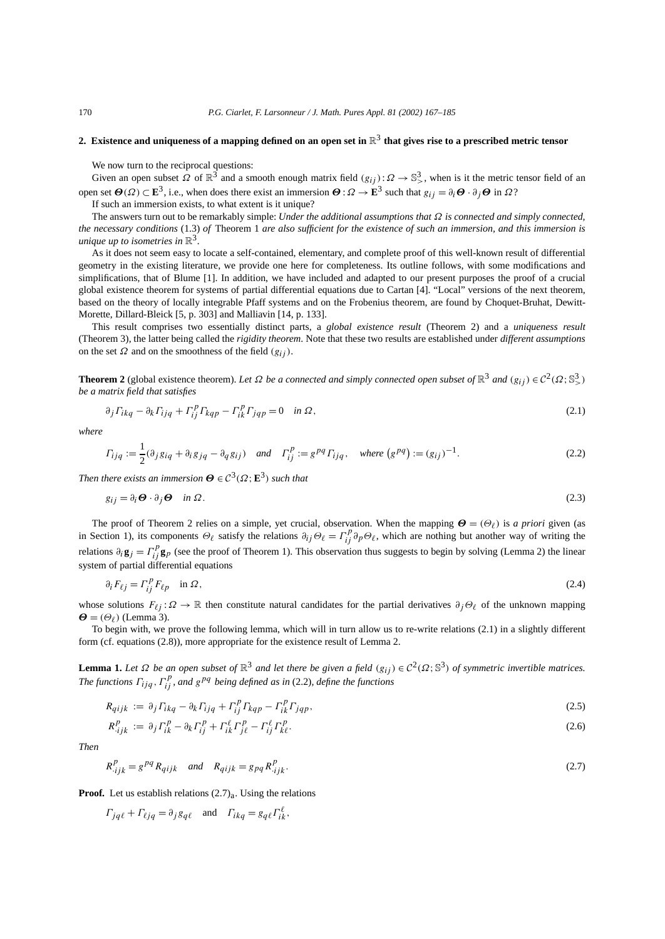# **2. Existence and uniqueness of a mapping defined on an open set in** R<sup>3</sup> **that gives rise to a prescribed metric tensor**

We now turn to the reciprocal questions:

Given an open subset  $\Omega$  of  $\mathbb{R}^3$  and a smooth enough matrix field  $(g_{ij}): \Omega \to \mathbb{S}^3$ , when is it the metric tensor field of an open set *<sup>Θ</sup>(Ω)* <sup>⊂</sup> **<sup>E</sup>**3, i.e., when does there exist an immersion *<sup>Θ</sup>* :*<sup>Ω</sup>* <sup>→</sup> **<sup>E</sup>**<sup>3</sup> such that *gij* <sup>=</sup> *∂i<sup>Θ</sup>* · *∂j <sup>Θ</sup>* in *<sup>Ω</sup>*?

If such an immersion exists, to what extent is it unique?

The answers turn out to be remarkably simple: *Under the additional assumptions that Ω is connected and simply connected, the necessary conditions* (1.3) *of* Theorem 1 *are also sufficient for the existence of such an immersion, and this immersion is unique up to isometries in*  $\mathbb{R}^3$ .

As it does not seem easy to locate a self-contained, elementary, and complete proof of this well-known result of differential geometry in the existing literature, we provide one here for completeness. Its outline follows, with some modifications and simplifications, that of Blume [1]. In addition, we have included and adapted to our present purposes the proof of a crucial global existence theorem for systems of partial differential equations due to Cartan [4]. "Local" versions of the next theorem, based on the theory of locally integrable Pfaff systems and on the Frobenius theorem, are found by Choquet-Bruhat, Dewitt-Morette, Dillard-Bleick [5, p. 303] and Malliavin [14, p. 133].

This result comprises two essentially distinct parts, a *global existence result* (Theorem 2) and a *uniqueness result* (Theorem 3), the latter being called the *rigidity theorem*. Note that these two results are established under *different assumptions* on the set  $\Omega$  and on the smoothness of the field  $(g_{ij})$ .

**Theorem 2** (global existence theorem). *Let*  $\Omega$  *be a connected and simply connected open subset of*  $\mathbb{R}^3$  *and*  $(g_{ij}) \in C^2(\Omega; \mathbb{S}^3)$ *be a matrix field that satisfies*

$$
\partial_j \Gamma_{ikq} - \partial_k \Gamma_{ijq} + \Gamma_{ij}^p \Gamma_{kqp} - \Gamma_{ik}^p \Gamma_{jqp} = 0 \quad \text{in } \Omega,
$$
\n(2.1)

*where*

$$
\Gamma_{ijq} := \frac{1}{2} (\partial_j g_{iq} + \partial_i g_{jq} - \partial_q g_{ij}) \quad \text{and} \quad \Gamma_{ij}^p := g^{pq} \Gamma_{ijq}, \quad \text{where } (g^{pq}) := (g_{ij})^{-1}.
$$

*Then there exists an immersion*  $\mathbf{\Theta} \in C^3(\Omega; \mathbf{E}^3)$  *such that* 

$$
g_{ij} = \partial_i \Theta \cdot \partial_j \Theta \quad \text{in } \Omega. \tag{2.3}
$$

The proof of Theorem 2 relies on a simple, yet crucial, observation. When the mapping  $\mathbf{\Theta} = (\Theta_\ell)$  is *a priori* given (as in Section 1), its components  $\Theta_{\ell}$  satisfy the relations  $\partial_{ij}\Theta_{\ell} = \Gamma_{ij}^p \partial_p \Theta_{\ell}$ , which are nothing but another way of writing the relations  $\partial_i \mathbf{g}_j = \Gamma^p_{ij} \mathbf{g}_p$  (see the proof of Theorem 1). This observation thus suggests to begin by solving (Lemma 2) the linear system of partial differential equations

$$
\partial_i F_{\ell j} = \Gamma_{ij}^p F_{\ell p} \quad \text{in } \Omega \,, \tag{2.4}
$$

whose solutions  $F_{\ell j}: \Omega \to \mathbb{R}$  then constitute natural candidates for the partial derivatives  $\partial_j \Theta_\ell$  of the unknown mapping  $\boldsymbol{\Theta} = (\Theta_{\ell})$  (Lemma 3).

To begin with, we prove the following lemma, which will in turn allow us to re-write relations (2.1) in a slightly different form (cf. equations (2.8)), more appropriate for the existence result of Lemma 2.

**Lemma 1.** Let  $\Omega$  be an open subset of  $\mathbb{R}^3$  and let there be given a field  $(g_{ij}) \in C^2(\Omega; \mathbb{S}^3)$  of symmetric invertible matrices. *The functions Γij q , Γ <sup>p</sup> ij , and <sup>g</sup>pq being defined as in* (2.2)*, define the functions*

$$
R_{qijk} := \partial_j \Gamma_{ikq} - \partial_k \Gamma_{ijq} + \Gamma_{ij}^p \Gamma_{kqp} - \Gamma_{ik}^p \Gamma_{jqp}, \qquad (2.5)
$$

$$
R_{ijk}^p := \partial_j \Gamma_{ik}^p - \partial_k \Gamma_{ij}^p + \Gamma_{ik}^\ell \Gamma_{j\ell}^p - \Gamma_{ij}^\ell \Gamma_{k\ell}^p. \tag{2.6}
$$

*Then*

$$
R_{ijk}^{p} = g^{pq} R_{qijk} \quad and \quad R_{qijk} = g_{pq} R_{ijk}^{p}.
$$
 (2.7)

**Proof.** Let us establish relations  $(2.7)$ <sub>a</sub>. Using the relations

$$
\Gamma_{jq\ell} + \Gamma_{\ell jq} = \partial_j g_{q\ell} \quad \text{and} \quad \Gamma_{ikq} = g_{q\ell} \Gamma_{ik}^{\ell},
$$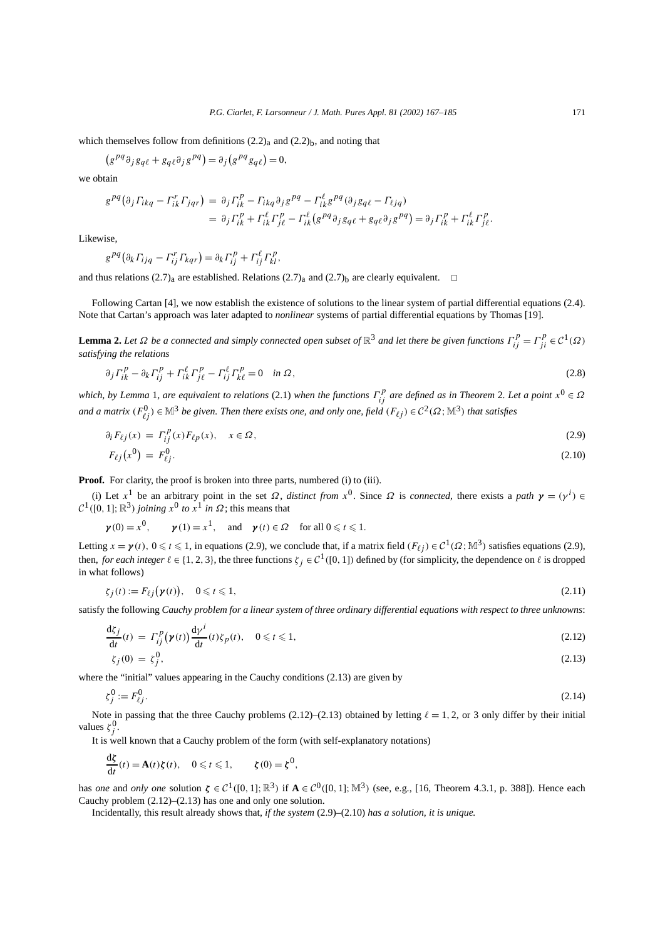which themselves follow from definitions  $(2.2)$ <sub>a</sub> and  $(2.2)$ <sub>b</sub>, and noting that

$$
(g^{pq}\partial_j g_{q\ell} + g_{q\ell}\partial_j g^{pq}) = \partial_j (g^{pq}g_{q\ell}) = 0,
$$

we obtain

$$
g^{pq}(\partial_j \Gamma_{ikq} - \Gamma_{ik}^r \Gamma_{jqr}) = \partial_j \Gamma_{ik}^p - \Gamma_{ikq} \partial_j g^{pq} - \Gamma_{ik}^\ell g^{pq}(\partial_j g_{q\ell} - \Gamma_{\ell jq})
$$
  

$$
= \partial_j \Gamma_{ik}^p + \Gamma_{ik}^\ell \Gamma_{j\ell}^p - \Gamma_{ik}^\ell (g^{pq} \partial_j g_{q\ell} + g_{q\ell} \partial_j g^{pq}) = \partial_j \Gamma_{ik}^p + \Gamma_{ik}^\ell \Gamma_{j\ell}^p.
$$

Likewise,

$$
g^{pq}(\partial_k \Gamma_{ijq} - \Gamma_{ij}^r \Gamma_{kqr}) = \partial_k \Gamma_{ij}^p + \Gamma_{ij}^\ell \Gamma_{kl}^p,
$$

and thus relations (2.7)<sub>a</sub> are established. Relations (2.7)<sub>a</sub> and (2.7)<sub>b</sub> are clearly equivalent.  $\Box$ 

Following Cartan [4], we now establish the existence of solutions to the linear system of partial differential equations (2.4). Note that Cartan's approach was later adapted to *nonlinear* systems of partial differential equations by Thomas [19].

**Lemma 2.** Let  $Ω$  be a connected and simply connected open subset of  $\mathbb{R}^3$  and let there be given functions  $\Gamma_{ij}^p = \Gamma_{ji}^p \in C^1(Ω)$ *satisfying the relations*

$$
\partial_j \Gamma_{ik}^p - \partial_k \Gamma_{ij}^p + \Gamma_{ik}^\ell \Gamma_{j\ell}^p - \Gamma_{ij}^\ell \Gamma_{k\ell}^p = 0 \quad \text{in } \Omega, \tag{2.8}
$$

*which, by Lemma* 1*, are equivalent to relations* (2.1) *when the functions Γ <sup>p</sup> ij are defined as in Theorem* <sup>2</sup>*. Let a point <sup>x</sup>*<sup>0</sup> <sup>∈</sup> *<sup>Ω</sup> and a matrix*  $(F_{\ell j}^0)$  ∈  $\mathbb{M}^3$  *be given. Then there exists one, and only one, field*  $(F_{\ell j})$  ∈  $C^2(\Omega; \mathbb{M}^3)$  *that satisfies* 

$$
\partial_i F_{\ell j}(x) = \Gamma_{ij}^p(x) F_{\ell p}(x), \quad x \in \Omega, \tag{2.9}
$$

$$
F_{\ell j}(x^0) = F_{\ell j}^0. \tag{2.10}
$$

**Proof.** For clarity, the proof is broken into three parts, numbered (i) to (iii).

(i) Let  $x^1$  be an arbitrary point in the set  $\Omega$ , *distinct from*  $x^0$ . Since  $\Omega$  is *connected*, there exists a *path*  $\gamma = (\gamma^i) \in$  $\mathcal{C}^1([0, 1]; \mathbb{R}^3)$  *joining*  $x^0$  *to*  $x^1$  *in*  $\Omega$ ; this means that

$$
\mathbf{y}(0) = x^0
$$
,  $\mathbf{y}(1) = x^1$ , and  $\mathbf{y}(t) \in \Omega$  for all  $0 \le t \le 1$ .

Letting  $x = \gamma(t)$ ,  $0 \le t \le 1$ , in equations (2.9), we conclude that, if a matrix field  $(F_{\ell i}) \in C^1(\Omega; \mathbb{M}^3)$  satisfies equations (2.9), then, *for each integer*  $\ell \in \{1, 2, 3\}$ , the three functions  $\zeta_i \in C^1([0, 1])$  defined by (for simplicity, the dependence on  $\ell$  is dropped in what follows)

$$
\zeta_j(t) := F_{\ell j}(\mathbf{y}(t)), \quad 0 \leqslant t \leqslant 1,\tag{2.11}
$$

satisfy the following *Cauchy problem for a linear system of three ordinary differential equations with respect to three unknowns*:

$$
\frac{\mathrm{d}\zeta_j}{\mathrm{d}t}(t) = \Gamma_{ij}^p(\mathbf{y}(t)) \frac{\mathrm{d}\gamma^i}{\mathrm{d}t}(t) \zeta_p(t), \quad 0 \leq t \leq 1,
$$
\n(2.12)

$$
\zeta_j(0) = \zeta_j^0,\tag{2.13}
$$

where the "initial" values appearing in the Cauchy conditions (2.13) are given by

$$
\zeta_j^0 := F_{\ell j}^0. \tag{2.14}
$$

Note in passing that the three Cauchy problems  $(2.12)$ – $(2.13)$  obtained by letting  $\ell = 1, 2$ , or 3 only differ by their initial values  $\zeta_j^0$ .

It is well known that a Cauchy problem of the form (with self-explanatory notations)

$$
\frac{\mathrm{d}\zeta}{\mathrm{d}t}(t) = \mathbf{A}(t)\zeta(t), \quad 0 \leqslant t \leqslant 1, \qquad \zeta(0) = \zeta^0,
$$

has *one* and *only one* solution  $\zeta \in C^1([0, 1]; \mathbb{R}^3)$  if  $A \in C^0([0, 1]; \mathbb{M}^3)$  (see, e.g., [16, Theorem 4.3.1, p. 388]). Hence each Cauchy problem (2.12)–(2.13) has one and only one solution.

Incidentally, this result already shows that, *if the system* (2.9)–(2.10) *has a solution, it is unique.*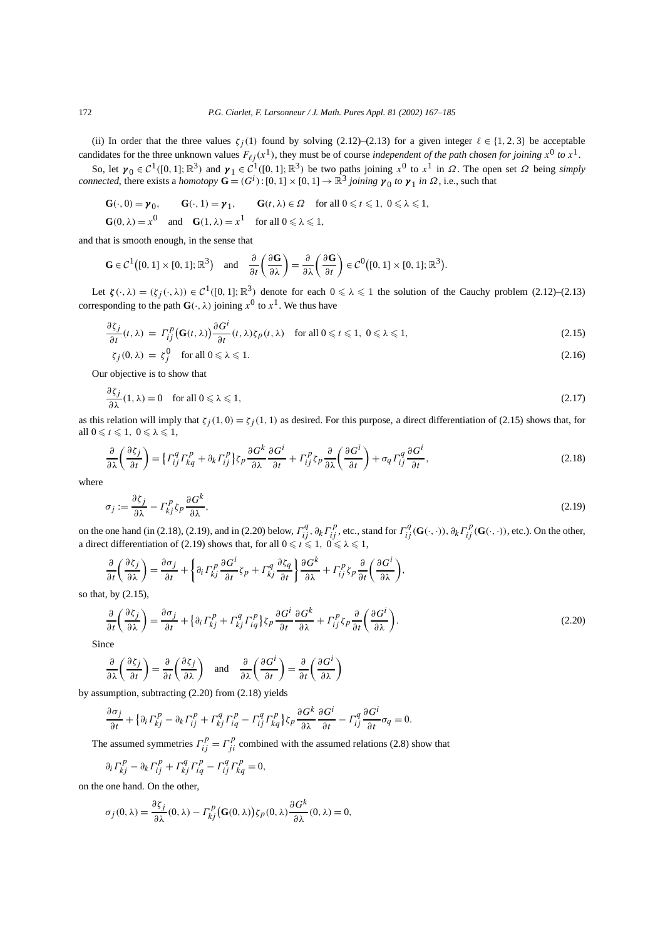(ii) In order that the three values  $\zeta_i(1)$  found by solving (2.12)–(2.13) for a given integer  $\ell \in \{1, 2, 3\}$  be acceptable candidates for the three unknown values  $F_{\ell j}(x^1)$ , they must be of course *independent of the path chosen for joining*  $x^0$  *to*  $x^1$ .

So, let  $γ_0 ∈ C<sup>1</sup>([0, 1]; ℝ<sup>3</sup>)$  and  $γ_1 ∈ C<sup>1</sup>([0, 1]; ℝ<sup>3</sup>)$  be two paths joining *x*<sup>0</sup> to *x*<sup>1</sup> in *Ω*. The open set *Ω* being *simply connected*, there exists a *homotopy*  $\mathbf{G} = (G^i) : [0, 1] \times [0, 1] \to \mathbb{R}^3$  *joining*  $\gamma_0$  *to*  $\gamma_1$  *in*  $\Omega$ , i.e., such that

$$
\begin{aligned}\n\mathbf{G}(\cdot,0) &= \mathbf{y}_0, & \mathbf{G}(\cdot,1) &= \mathbf{y}_1, & \mathbf{G}(t,\lambda) \in \Omega \quad \text{for all } 0 \leq t \leq 1, \ 0 \leq \lambda \leq 1, \\
\mathbf{G}(0,\lambda) &= x^0 \quad \text{and} & \mathbf{G}(1,\lambda) = x^1 \quad \text{for all } 0 \leq \lambda \leq 1,\n\end{aligned}
$$

and that is smooth enough, in the sense that

$$
\mathbf{G} \in \mathcal{C}^1([0, 1] \times [0, 1]; \mathbb{R}^3) \quad \text{and} \quad \frac{\partial}{\partial t} \left( \frac{\partial \mathbf{G}}{\partial \lambda} \right) = \frac{\partial}{\partial \lambda} \left( \frac{\partial \mathbf{G}}{\partial t} \right) \in \mathcal{C}^0([0, 1] \times [0, 1]; \mathbb{R}^3).
$$

Let  $\zeta(\cdot, \lambda) = (\zeta_j(\cdot, \lambda)) \in C^1([0, 1]; \mathbb{R}^3)$  denote for each  $0 \le \lambda \le 1$  the solution of the Cauchy problem (2.12)–(2.13) corresponding to the path  $\mathbf{G}(\cdot, \lambda)$  joining  $x^0$  to  $x^1$ . We thus have

$$
\frac{\partial \zeta_j}{\partial t}(t,\lambda) = \Gamma_{ij}^p \big( \mathbf{G}(t,\lambda) \big) \frac{\partial G^i}{\partial t}(t,\lambda) \zeta_p(t,\lambda) \quad \text{for all } 0 \leq t \leq 1, \ 0 \leq \lambda \leq 1,
$$
\n(2.15)

$$
\zeta_j(0,\lambda) = \zeta_j^0 \quad \text{for all } 0 \le \lambda \le 1. \tag{2.16}
$$

Our objective is to show that

*∂ζj*

$$
\frac{\partial \zeta_j}{\partial \lambda}(1,\lambda) = 0 \quad \text{for all } 0 \le \lambda \le 1,
$$
\n(2.17)

as this relation will imply that  $\zeta_i(1,0) = \zeta_i(1,1)$  as desired. For this purpose, a direct differentiation of (2.15) shows that, for all  $0 \leq t \leq 1$ ,  $0 \leq \lambda \leq 1$ ,

$$
\frac{\partial}{\partial \lambda} \left( \frac{\partial \zeta_j}{\partial t} \right) = \left\{ \Gamma_{ij}^q \Gamma_{kq}^p + \partial_k \Gamma_{ij}^p \right\} \zeta_p \frac{\partial G^k}{\partial \lambda} \frac{\partial G^i}{\partial t} + \Gamma_{ij}^p \zeta_p \frac{\partial}{\partial \lambda} \left( \frac{\partial G^i}{\partial t} \right) + \sigma_q \Gamma_{ij}^q \frac{\partial G^i}{\partial t},\tag{2.18}
$$

where

$$
\sigma_j := \frac{\partial \zeta_j}{\partial \lambda} - \Gamma_{kj}^p \zeta_p \frac{\partial G^k}{\partial \lambda},\tag{2.19}
$$

on the one hand (in (2.18), (2.19), and in (2.20) below,  $\Gamma_{ij}^q$ ,  $\partial_k \Gamma_{ij}^p$ , etc., stand for  $\Gamma_{ij}^q$ (G(·,·)),  $\partial_k \Gamma_{ij}^p$ (G(·,·)), etc.). On the other, a direct differentiation of (2.19) shows that, for all  $0 \le t \le 1$ ,  $0 \le \lambda \le 1$ ,

$$
\frac{\partial}{\partial t}\left(\frac{\partial \zeta_j}{\partial \lambda}\right) = \frac{\partial \sigma_j}{\partial t} + \left\{\partial_i \Gamma^p_{kj} \frac{\partial G^i}{\partial t} \zeta_p + \Gamma^q_{kj} \frac{\partial \zeta_q}{\partial t}\right\} \frac{\partial G^k}{\partial \lambda} + \Gamma^p_{ij} \zeta_p \frac{\partial}{\partial t} \left(\frac{\partial G^i}{\partial \lambda}\right),
$$

so that, by (2.15),

$$
\frac{\partial}{\partial t} \left( \frac{\partial \zeta_j}{\partial \lambda} \right) = \frac{\partial \sigma_j}{\partial t} + \left\{ \partial_i \Gamma^p_{kj} + \Gamma^q_{kj} \Gamma^p_{iq} \right\} \zeta_p \frac{\partial G^i}{\partial t} \frac{\partial G^k}{\partial \lambda} + \Gamma^p_{ij} \zeta_p \frac{\partial}{\partial t} \left( \frac{\partial G^i}{\partial \lambda} \right). \tag{2.20}
$$

Since

$$
\frac{\partial}{\partial \lambda} \left( \frac{\partial \zeta_j}{\partial t} \right) = \frac{\partial}{\partial t} \left( \frac{\partial \zeta_j}{\partial \lambda} \right) \quad \text{and} \quad \frac{\partial}{\partial \lambda} \left( \frac{\partial G^i}{\partial t} \right) = \frac{\partial}{\partial t} \left( \frac{\partial G^i}{\partial \lambda} \right)
$$

by assumption, subtracting (2.20) from (2.18) yields

$$
\frac{\partial \sigma_j}{\partial t} + \left\{\partial_i \Gamma_{kj}^p - \partial_k \Gamma_{ij}^p + \Gamma_{kj}^q \Gamma_{iq}^p - \Gamma_{ij}^q \Gamma_{kq}^p\right\} \zeta_p \frac{\partial G^k}{\partial \lambda} \frac{\partial G^i}{\partial t} - \Gamma_{ij}^q \frac{\partial G^i}{\partial t} \sigma_q = 0.
$$

The assumed symmetries  $\Gamma_{ij}^p = \Gamma_{ji}^p$  combined with the assumed relations (2.8) show that

$$
\partial_i \Gamma_{kj}^p - \partial_k \Gamma_{ij}^p + \Gamma_{kj}^q \Gamma_{iq}^p - \Gamma_{ij}^q \Gamma_{kq}^p = 0,
$$

on the one hand. On the other,

$$
\sigma_j(0,\lambda) = \frac{\partial \zeta_j}{\partial \lambda}(0,\lambda) - \Gamma_{kj}^p(\mathbf{G}(0,\lambda))\zeta_p(0,\lambda)\frac{\partial G^k}{\partial \lambda}(0,\lambda) = 0,
$$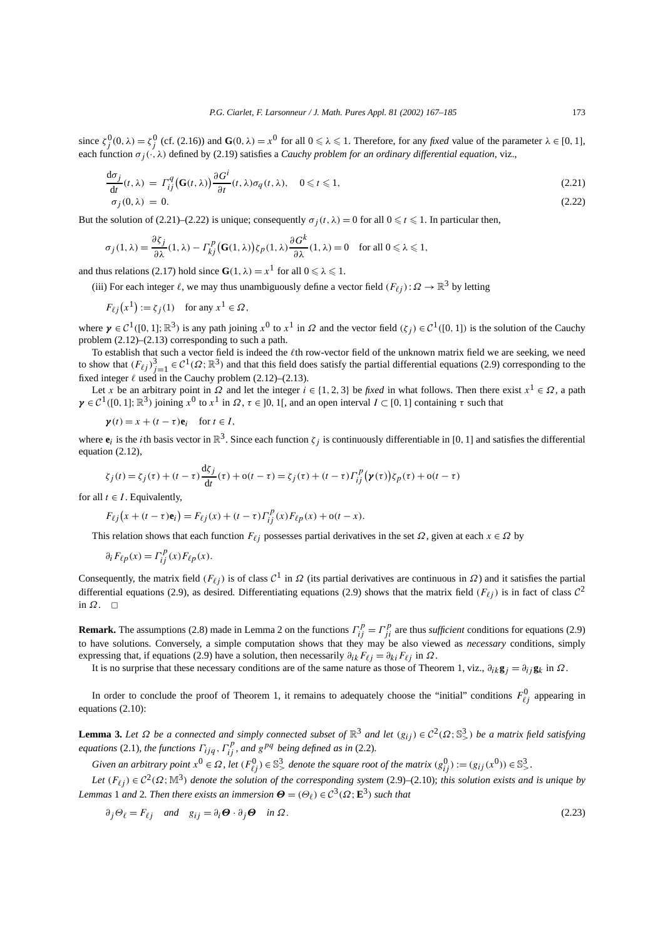since  $\zeta_j^0(0, \lambda) = \zeta_j^0$  (cf. (2.16)) and  $\mathbf{G}(0, \lambda) = x^0$  for all  $0 \le \lambda \le 1$ . Therefore, for any *fixed* value of the parameter  $\lambda \in [0, 1]$ , each function *σj (*·*, λ)* defined by (2.19) satisfies a *Cauchy problem for an ordinary differential equation*, viz.,

$$
\frac{d\sigma_j}{dt}(t,\lambda) = \Gamma_{ij}^q(\mathbf{G}(t,\lambda)) \frac{\partial G^i}{\partial t}(t,\lambda)\sigma_q(t,\lambda), \quad 0 \le t \le 1,
$$
\n(2.21)  
\n
$$
\sigma_j(0,\lambda) = 0.
$$
\n(2.22)

But the solution of (2.21)–(2.22) is unique; consequently  $\sigma_i(t, \lambda) = 0$  for all  $0 \le t \le 1$ . In particular then,

$$
\sigma_j(1,\lambda) = \frac{\partial \zeta_j}{\partial \lambda}(1,\lambda) - \Gamma_{kj}^p(\mathbf{G}(1,\lambda))\zeta_p(1,\lambda)\frac{\partial G^k}{\partial \lambda}(1,\lambda) = 0 \quad \text{for all } 0 \leq \lambda \leq 1,
$$

and thus relations (2.17) hold since  $G(1, \lambda) = x^1$  for all  $0 \le \lambda \le 1$ .

(iii) For each integer  $\ell$ , we may thus unambiguously define a vector field  $(F_{\ell j})$ :  $\Omega \to \mathbb{R}^3$  by letting

$$
F_{\ell j}(x^1) := \zeta_j(1) \quad \text{for any } x^1 \in \Omega,
$$

where  $\gamma \in C^1([0, 1]; \mathbb{R}^3)$  is any path joining  $x^0$  to  $x^1$  in  $\Omega$  and the vector field  $(\zeta_i) \in C^1([0, 1])$  is the solution of the Cauchy problem (2.12)–(2.13) corresponding to such a path.

To establish that such a vector field is indeed the  $\ell$ th row-vector field of the unknown matrix field we are seeking, we need to show that  $(F_{\ell j})_{j=1}^3 \in C^1(\Omega;\mathbb{R}^3)$  and that this field does satisfy the partial differential equations (2.9) corresponding to the fixed integer  $\ell$  used in the Cauchy problem (2.12)–(2.13).

Let *x* be an arbitrary point in  $\Omega$  and let the integer  $i \in \{1, 2, 3\}$  be *fixed* in what follows. Then there exist  $x^1 \in \Omega$ , a path  $\gamma \in C^1([0, 1]; \mathbb{R}^3)$  joining  $x^0$  to  $x^1$  in  $\Omega, \tau \in ]0, 1[$ , and an open interval  $I \subset [0, 1]$  containing  $\tau$  such that

 $\gamma(t) = x + (t - \tau)\mathbf{e}_i$  for  $t \in I$ ,

where  $e_i$  is the *i*th basis vector in  $\mathbb{R}^3$ . Since each function  $\zeta_i$  is continuously differentiable in [0, 1] and satisfies the differential equation (2.12),

$$
\zeta_j(t) = \zeta_j(\tau) + (t - \tau) \frac{\mathrm{d}\zeta_j}{\mathrm{d}t}(\tau) + \mathrm{o}(t - \tau) = \zeta_j(\tau) + (t - \tau) \Gamma_{ij}^p (\mathbf{y}(\tau)) \zeta_p(\tau) + \mathrm{o}(t - \tau)
$$

for all  $t \in I$ . Equivalently,

$$
F_{\ell j}(x + (t - \tau)\mathbf{e}_i) = F_{\ell j}(x) + (t - \tau) \Gamma_{ij}^p(x) F_{\ell p}(x) + o(t - x).
$$

This relation shows that each function  $F_{\ell j}$  possesses partial derivatives in the set  $\Omega$ , given at each  $x \in \Omega$  by

$$
\partial_i F_{\ell p}(x) = \Gamma_{ij}^p(x) F_{\ell p}(x).
$$

Consequently, the matrix field  $(F_{\ell i})$  is of class  $\mathcal{C}^1$  in  $\Omega$  (its partial derivatives are continuous in  $\Omega$ ) and it satisfies the partial differential equations (2.9), as desired. Differentiating equations (2.9) shows that the matrix field  $(F_{\ell i})$  is in fact of class  $C^2$ in  $Ω$ .  $□$ 

**Remark.** The assumptions (2.8) made in Lemma 2 on the functions  $\Gamma_{ij}^p = \Gamma_{ji}^p$  are thus *sufficient* conditions for equations (2.9) to have solutions. Conversely, a simple computation shows that they may be also viewed as *necessary* conditions, simply expressing that, if equations (2.9) have a solution, then necessarily  $\partial_{ik}F_{\ell j} = \partial_{ki}F_{\ell j}$  in  $\Omega$ .

It is no surprise that these necessary conditions are of the same nature as those of Theorem 1, viz.,  $\partial_i k g_j = \partial_{ij} g_k$  in  $\Omega$ .

In order to conclude the proof of Theorem 1, it remains to adequately choose the "initial" conditions  $F_{\ell j}^0$  appearing in equations (2.10):

**Lemma 3.** *Let* Ω *be a connected and simply connected subset of*  $\mathbb{R}^3$  *and let*  $(g_{ij}) \in C^2(\Omega; \mathbb{S}^3)$  *be a matrix field satisfying equations* (2.1)*, the functions*  $\Gamma_{ijq}$  *,*  $\Gamma_{ij}^p$ *, and*  $g^{pq}$  *being defined as in* (2.2)*.* 

Given an arbitrary point  $x^0 \in \Omega$ , let  $(F_{\ell j}^0) \in \mathbb{S}^3$ , denote the square root of the matrix  $(g_{ij}^0) := (g_{ij}(x^0)) \in \mathbb{S}^3_\ge$ .

*Let*  $(F_{\ell j}) \in C^2(\Omega; \mathbb{M}^3)$  *denote the solution of the corresponding system* (2.9)–(2.10); *this solution exists and is unique by Lemmas* 1 *and* 2*. Then there exists an immersion*  $\mathbf{\Theta} = (\Theta_{\ell}) \in C^3(\Omega; \mathbb{E}^3)$  *such that* 

$$
\partial_j \Theta_\ell = F_{\ell j} \quad \text{and} \quad g_{ij} = \partial_i \Theta \cdot \partial_j \Theta \quad \text{in } \Omega \,. \tag{2.23}
$$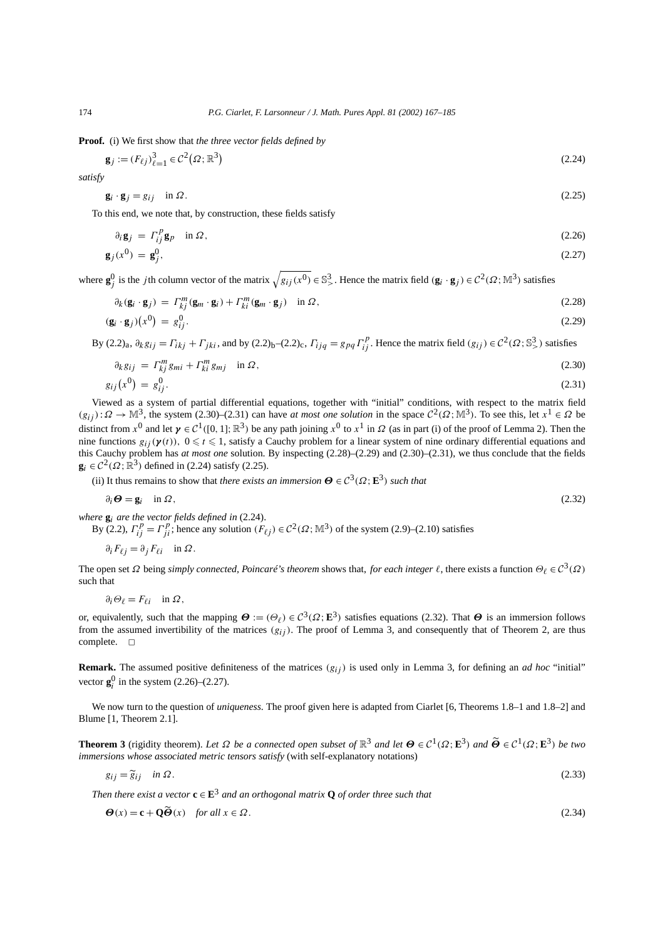**Proof.** (i) We first show that *the three vector fields defined by*

$$
\mathbf{g}_j := (F_{\ell j})_{\ell=1}^3 \in \mathcal{C}^2(\Omega; \mathbb{R}^3)
$$
\n
$$
(2.24)
$$

*satisfy*

$$
\mathbf{g}_i \cdot \mathbf{g}_j = g_{ij} \quad \text{in } \Omega. \tag{2.25}
$$

To this end, we note that, by construction, these fields satisfy

$$
\partial_i \mathbf{g}_j = \Gamma_{ij}^p \mathbf{g}_p \quad \text{in } \Omega, \n\mathbf{g}_j(x^0) = \mathbf{g}_j^0,
$$
\n(2.26)

where  $\mathbf{g}^0_j$  is the *j*th column vector of the matrix  $\sqrt{g_{ij}(x^0)} \in \mathbb{S}^3$ . Hence the matrix field  $(\mathbf{g}_i \cdot \mathbf{g}_j) \in C^2(\Omega; \mathbb{M}^3)$  satisfies

$$
\partial_k (\mathbf{g}_i \cdot \mathbf{g}_j) = \Gamma_{kj}^m (\mathbf{g}_m \cdot \mathbf{g}_i) + \Gamma_{ki}^m (\mathbf{g}_m \cdot \mathbf{g}_j) \quad \text{in } \Omega, \tag{2.28}
$$

$$
(\mathbf{g}_i \cdot \mathbf{g}_j)(x^0) = g_{ij}^0. \tag{2.29}
$$

By  $(2.2)_a$ ,  $\partial_k g_{ij} = \Gamma_{ikj} + \Gamma_{jki}$ , and by  $(2.2)_b - (2.2)_c$ ,  $\Gamma_{ijq} = g_{pq} \Gamma_{ij}^p$ . Hence the matrix field  $(g_{ij}) \in C^2(\Omega; \mathbb{S}^3)$  satisfies

$$
\partial_k g_{ij} = \Gamma_{kj}^m g_{mi} + \Gamma_{ki}^m g_{mj} \quad \text{in } \Omega, \tag{2.30}
$$

$$
g_{ij}(x^0) = g_{ij}^0.
$$
 (2.31)

Viewed as a system of partial differential equations, together with "initial" conditions, with respect to the matrix field  $(g_{ii})$ :  $\Omega \to \mathbb{M}^3$ , the system (2.30)–(2.31) can have *at most one solution* in the space  $C^2(\Omega;\mathbb{M}^3)$ . To see this, let  $x^1 \in \Omega$  be distinct from  $x^0$  and let  $\gamma \in C^1([0, 1]; \mathbb{R}^3)$  be any path joining  $x^0$  to  $x^1$  in  $\Omega$  (as in part (i) of the proof of Lemma 2). Then the nine functions  $g_{ij}(\mathbf{y}(t))$ ,  $0 \le t \le 1$ , satisfy a Cauchy problem for a linear system of nine ordinary differential equations and this Cauchy problem has *at most one* solution. By inspecting (2.28)–(2.29) and (2.30)–(2.31), we thus conclude that the fields  $\mathbf{g}_i \in C^2(\Omega; \mathbb{R}^3)$  defined in (2.24) satisfy (2.25).

(ii) It thus remains to show that *there exists an immersion*  $\mathbf{\Theta} \in C^3(\Omega; \mathbf{E}^3)$  *such that* 

$$
\partial_i \Theta = \mathbf{g}_i \quad \text{in } \Omega \,, \tag{2.32}
$$

where  $\mathbf{g}_i$  are the vector fields defined in (2.24).<br>By (2.2),  $\Gamma_{ij}^p = \Gamma_{ji}^p$ ; hence any solution  $(F_{\ell j}) \in C^2(\Omega; \mathbb{M}^3)$  of the system (2.9)–(2.10) satisfies

 $\partial_i F_{\ell i} = \partial_j F_{\ell i}$  in  $\Omega$ .

The open set  $\Omega$  being *simply connected, Poincaré's theorem* shows that, *for each integer*  $\ell$ , there exists a function  $\Theta_{\ell} \in C^3(\Omega)$ such that

$$
\partial_i \Theta_\ell = F_{\ell i} \quad \text{in } \Omega,
$$

or, equivalently, such that the mapping  $\mathbf{\Theta} := (\Theta_\ell) \in C^3(\Omega; \mathbf{E}^3)$  satisfies equations (2.32). That  $\mathbf{\Theta}$  is an immersion follows from the assumed invertibility of the matrices  $(g_{ij})$ . The proof of Lemma 3, and consequently that of Theorem 2, are thus complete.  $\square$ 

**Remark.** The assumed positive definiteness of the matrices  $(g_{ij})$  is used only in Lemma 3, for defining an *ad hoc* "initial" vector  $g_i^0$  in the system (2.26)–(2.27).

We now turn to the question of *uniqueness*. The proof given here is adapted from Ciarlet [6, Theorems 1.8–1 and 1.8–2] and Blume [1, Theorem 2.1].

**Theorem 3** (rigidity theorem). Let Ω be a connected open subset of  $\mathbb{R}^3$  and let  $Θ ∈ C^1(Ω; E^3)$  and  $\widetildeΘ ∈ C^1(Ω; E^3)$  be two *immersions whose associated metric tensors satisfy* (with self-explanatory notations)

$$
g_{ij} = \widetilde{g}_{ij} \quad \text{in } \Omega. \tag{2.33}
$$

*Then there exist a vector*  $\mathbf{c} \in \mathbf{E}^3$  *and an orthogonal matrix* **Q** *of order three such that* 

$$
\Theta(x) = \mathbf{c} + \mathbf{Q}\tilde{\Theta}(x) \quad \text{for all } x \in \Omega. \tag{2.34}
$$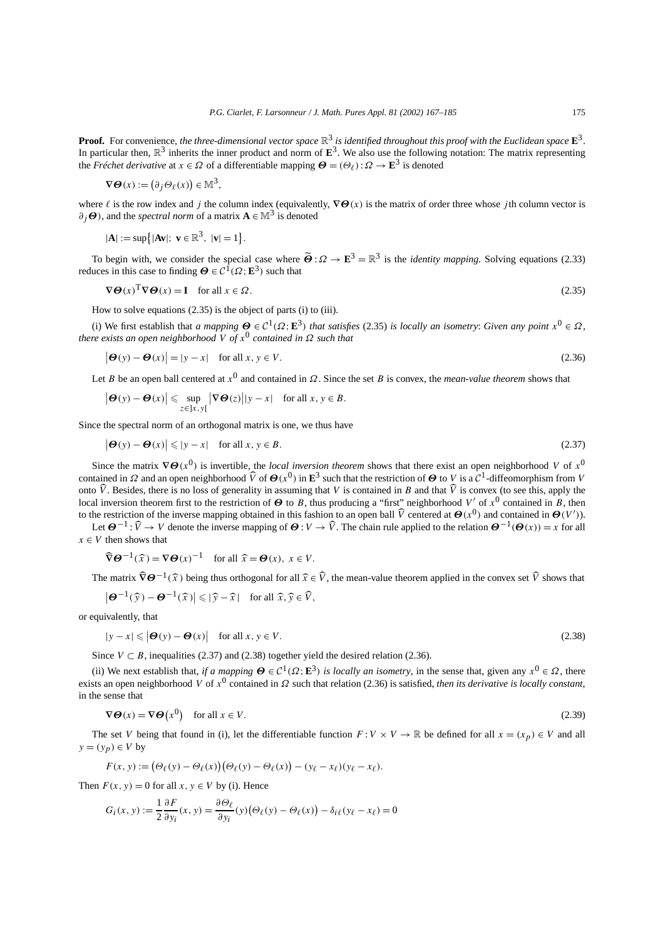**Proof.** For convenience, *the three-dimensional vector space*  $\mathbb{R}^3$  *is identified throughout this proof with the Euclidean space*  $\mathbf{E}^3$ . In particular then,  $\mathbb{R}^3$  inherits the inner product and norm of  $\mathbf{E}^3$ . We also use the following notation: The matrix representing the *Fréchet derivative* at  $x \in \Omega$  of a differentiable mapping  $\mathbf{\Theta} = (\Theta_{\ell}) : \Omega \to \mathbf{E}^3$  is denoted

$$
\nabla \Theta(x) := \left(\partial_j \Theta_\ell(x)\right) \in \mathbb{M}^3,
$$

where  $\ell$  is the row index and *j* the column index (equivalently,  $\nabla \Theta(x)$  is the matrix of order three whose *j*th column vector is  $\partial_i \Theta$ , and the *spectral norm* of a matrix  $\mathbf{A} \in \mathbb{M}^3$  is denoted

$$
|\mathbf{A}| := \sup\{|\mathbf{A}\mathbf{v}|\colon \mathbf{v} \in \mathbb{R}^3, \ |\mathbf{v}| = 1\}.
$$

To begin with, we consider the special case where  $\tilde{\boldsymbol{\Theta}}$  :  $\Omega \to \mathbf{E}^3 = \mathbb{R}^3$  is the *identity mapping*. Solving equations (2.33) reduces in this case to finding  $\mathbf{\Theta} \in \mathcal{C}^1(\Omega; \mathbf{E}^3)$  such that

$$
\nabla \Theta(x)^{\mathrm{T}} \nabla \Theta(x) = \mathbf{I} \quad \text{for all } x \in \Omega. \tag{2.35}
$$

How to solve equations (2.35) is the object of parts (i) to (iii).

(i) We first establish that *a mapping*  $\Theta \in C^1(\Omega; \mathbf{E}^3)$  *that satisfies* (2.35) *is locally an isometry: Given any point*  $x^0 \in \Omega$ *, there exists an open neighborhood V of x*<sup>0</sup> *contained in Ω such that*

$$
|\boldsymbol{\Theta}(y) - \boldsymbol{\Theta}(x)| = |y - x| \quad \text{for all } x, y \in V.
$$
 (2.36)

Let *B* be an open ball centered at  $x^0$  and contained in  $\Omega$ . Since the set *B* is convex, the *mean-value theorem* shows that

$$
\big|\boldsymbol{\Theta}(y)-\boldsymbol{\Theta}(x)\big|\leqslant \sup_{z\in\,]x,y[}\big|\nabla\boldsymbol{\Theta}(z)\big||y-x| \quad \text{for all } x,y\in B.
$$

Since the spectral norm of an orthogonal matrix is one, we thus have

$$
|\boldsymbol{\Theta}(y) - \boldsymbol{\Theta}(x)| \le |y - x| \quad \text{for all } x, y \in B. \tag{2.37}
$$

Since the matrix  $\nabla \Theta(x^0)$  is invertible, the *local inversion theorem* shows that there exist an open neighborhood *V* of  $x^0$ contained in  $\Omega$  and an open neighborhood  $\widehat{V}$  of  $\Theta(x^0)$  in  $\mathbf{E}^3$  such that the restriction of  $\Theta$  to  $\widehat{V}$  is a  $\mathcal{C}^1$ -diffeomorphism from  $V$ onto  $\dot{V}$ . Besides, there is no loss of generality in assuming that  $V$  is contained in  $B$  and that  $\dot{V}$  is convex (to see this, apply the local inversion theorem first to the restriction of  $\Theta$  to *B*, thus producing a "first" neighborhood *V'* of *x*<sup>0</sup> contained in *B*, then to the restriction of the inverse mapping obtained in this fashion to an open ball  $\hat{V}$  centered at  $\Theta(x^0)$  and contained in  $\Theta(V')$ ).

Let  $\Theta^{-1}$ :  $\widehat{V} \to V$  denote the inverse mapping of  $\Theta : V \to \widehat{V}$ . The chain rule applied to the relation  $\Theta^{-1}(\Theta(x)) = x$  for all  $x \in V$  then shows that

$$
\widehat{\nabla} \Theta^{-1}(\widehat{x}) = \nabla \Theta(x)^{-1} \quad \text{for all } \widehat{x} = \Theta(x), \ x \in V.
$$

The matrix  $\widehat{\nabla} \Theta^{-1}(\widehat{x})$  being thus orthogonal for all  $\widehat{x} \in \widehat{V}$ , the mean-value theorem applied in the convex set  $\widehat{V}$  shows that

$$
\left|\boldsymbol{\Theta}^{-1}(\widehat{\mathbf{y}})-\boldsymbol{\Theta}^{-1}(\widehat{\mathbf{x}})\right|\leqslant|\widehat{\mathbf{y}}-\widehat{\mathbf{x}}|\quad\text{for all }\widehat{\mathbf{x}},\widehat{\mathbf{y}}\in\widehat{V},
$$

or equivalently, that

$$
|y - x| \leqslant |\boldsymbol{\Theta}(y) - \boldsymbol{\Theta}(x)| \quad \text{for all } x, y \in V. \tag{2.38}
$$

Since  $V \subset B$ , inequalities (2.37) and (2.38) together yield the desired relation (2.36).

(ii) We next establish that, *if a mapping*  $\Theta \in C^1(\Omega; \mathbf{E}^3)$  *is locally an isometry*, in the sense that, given any  $x^0 \in \Omega$ , there exists an open neighborhood *V* of *x*<sup>0</sup> contained in *Ω* such that relation (2.36) is satisfied, *then its derivative is locally constant*, in the sense that

$$
\nabla \Theta(x) = \nabla \Theta \left( x^0 \right) \quad \text{for all } x \in V. \tag{2.39}
$$

The set *V* being that found in (i), let the differentiable function  $F: V \times V \to \mathbb{R}$  be defined for all  $x = (x_p) \in V$  and all  $y = (y_p) \in V$  by

$$
F(x, y) := (\Theta_{\ell}(y) - \Theta_{\ell}(x))(\Theta_{\ell}(y) - \Theta_{\ell}(x)) - (y_{\ell} - x_{\ell})(y_{\ell} - x_{\ell}).
$$

Then  $F(x, y) = 0$  for all  $x, y \in V$  by (i). Hence

$$
G_i(x, y) := \frac{1}{2} \frac{\partial F}{\partial y_i}(x, y) = \frac{\partial \Theta_\ell}{\partial y_i}(y) (\Theta_\ell(y) - \Theta_\ell(x)) - \delta_i \ell(y_\ell - x_\ell) = 0
$$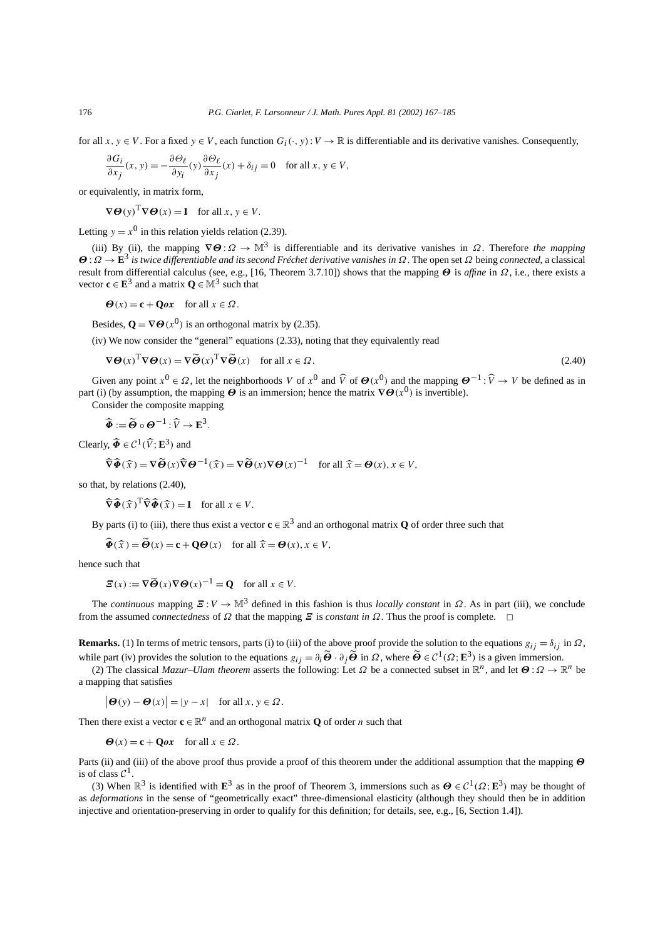for all  $x, y \in V$ . For a fixed  $y \in V$ , each function  $G_i(\cdot, y): V \to \mathbb{R}$  is differentiable and its derivative vanishes. Consequently,

$$
\frac{\partial G_i}{\partial x_j}(x, y) = -\frac{\partial \Theta_\ell}{\partial y_i}(y) \frac{\partial \Theta_\ell}{\partial x_j}(x) + \delta_{ij} = 0 \quad \text{for all } x, y \in V,
$$

or equivalently, in matrix form,

 $\nabla \Theta(v)^{\text{T}} \nabla \Theta(x) = \textbf{I}$  for all  $x, y \in V$ .

Letting  $y = x^0$  in this relation yields relation (2.39).

(iii) By (ii), the mapping  $\nabla \Theta : \Omega \to \mathbb{M}^3$  is differentiable and its derivative vanishes in  $\Omega$ . Therefore *the mapping Θ* :*Ω* → **E**<sup>3</sup> *is twice differentiable and its second Fréchet derivative vanishes in Ω*. The open set *Ω* being *connected*, a classical result from differential calculus (see, e.g., [16, Theorem 3.7.10]) shows that the mapping *Θ* is *affine* in *Ω*, i.e., there exists a vector  $\mathbf{c} \in \mathbf{E}^3$  and a matrix  $\mathbf{O} \in \mathbb{M}^3$  such that

 $\Theta(x) = \mathbf{c} + \mathbf{Q}\mathbf{z}$  for all  $x \in \Omega$ .

Besides,  $\mathbf{Q} = \nabla \mathbf{\Theta}(x^0)$  is an orthogonal matrix by (2.35).

(iv) We now consider the "general" equations (2.33), noting that they equivalently read

$$
\nabla \Theta(x)^{\mathrm{T}} \nabla \Theta(x) = \nabla \widetilde{\Theta}(x)^{\mathrm{T}} \nabla \widetilde{\Theta}(x) \quad \text{for all } x \in \Omega.
$$
 (2.40)

Given any point  $x^0 \in \Omega$ , let the neighborhoods *V* of  $x^0$  and  $\hat{V}$  of  $\Theta(x^0)$  and the mapping  $\Theta^{-1} : \hat{V} \to V$  be defined as in part (i) (by assumption, the mapping  $\ddot{\Theta}$  is an immersion; hence the matrix  $\nabla \Theta(x^0)$  is invertible).

Consider the composite mapping

$$
\widehat{\Phi} := \widetilde{\Theta} \circ \Theta^{-1} : \widehat{V} \to \mathbf{E}^3.
$$

 $\text{Clearly, } \widehat{\Phi} \in \mathcal{C}^1(\widehat{V}; \mathbf{E}^3) \text{ and }$ 

$$
\widehat{\nabla}\widehat{\Phi}(\widehat{x}) = \nabla\widetilde{\Theta}(x)\widehat{\nabla}\Theta^{-1}(\widehat{x}) = \nabla\widetilde{\Theta}(x)\nabla\Theta(x)^{-1} \quad \text{for all } \widehat{x} = \Theta(x), x \in V,
$$

so that, by relations (2.40),

$$
\widehat{\nabla}\widehat{\Phi}(\widehat{x})^{\mathrm{T}}\widehat{\nabla}\widehat{\Phi}(\widehat{x}) = \mathbf{I} \quad \text{for all } x \in V.
$$

By parts (i) to (iii), there thus exist a vector  $\mathbf{c} \in \mathbb{R}^3$  and an orthogonal matrix **Q** of order three such that

$$
\widehat{\Phi}(\widehat{x}) = \widetilde{\Theta}(x) = \mathbf{c} + \mathbf{Q}\Theta(x) \quad \text{for all } \widehat{x} = \Theta(x), x \in V,
$$

hence such that

$$
\boldsymbol{\Xi}(x) := \nabla \widetilde{\boldsymbol{\Theta}}(x) \nabla \boldsymbol{\Theta}(x)^{-1} = \mathbf{Q} \quad \text{for all } x \in V.
$$

The *continuous* mapping  $\mathbf{Z}: V \to \mathbb{M}^3$  defined in this fashion is thus *locally constant* in  $\Omega$ . As in part (iii), we conclude from the assumed *connectedness* of  $\Omega$  that the mapping  $\Xi$  is *constant in*  $\Omega$ . Thus the proof is complete.  $\Box$ 

**Remarks.** (1) In terms of metric tensors, parts (i) to (iii) of the above proof provide the solution to the equations  $g_{ij} = \delta_{ij}$  in  $\Omega$ , while part (iv) provides the solution to the equations  $g_{ij} = \partial_i \widetilde{\Theta} \cdot \partial_j \widetilde{\Theta}$  in  $\Omega$ , where  $\widetilde{\Theta} \in C^1(\Omega; \mathbb{E}^3)$  is a given immersion.

(2) The classical *Mazur–Ulam theorem* asserts the following: Let  $\Omega$  be a connected subset in  $\mathbb{R}^n$ , and let  $\Theta : \Omega \to \mathbb{R}^n$  be a mapping that satisfies

 $|\boldsymbol{\Theta}(y) - \boldsymbol{\Theta}(x)| = |y - x|$  for all  $x, y \in \Omega$ .

Then there exist a vector  $\mathbf{c} \in \mathbb{R}^n$  and an orthogonal matrix **Q** of order *n* such that

 $\Theta(x) = \mathbf{c} + \mathbf{Q}\mathbf{z}$  for all  $x \in \Omega$ .

Parts (ii) and (iii) of the above proof thus provide a proof of this theorem under the additional assumption that the mapping *Θ* is of class  $\mathcal{C}^1$ .

(3) When  $\mathbb{R}^3$  is identified with  $\mathbb{E}^3$  as in the proof of Theorem 3, immersions such as  $\mathbf{\Theta} \in C^1(\Omega; \mathbb{E}^3)$  may be thought of as *deformations* in the sense of "geometrically exact" three-dimensional elasticity (although they should then be in addition injective and orientation-preserving in order to qualify for this definition; for details, see, e.g., [6, Section 1.4]).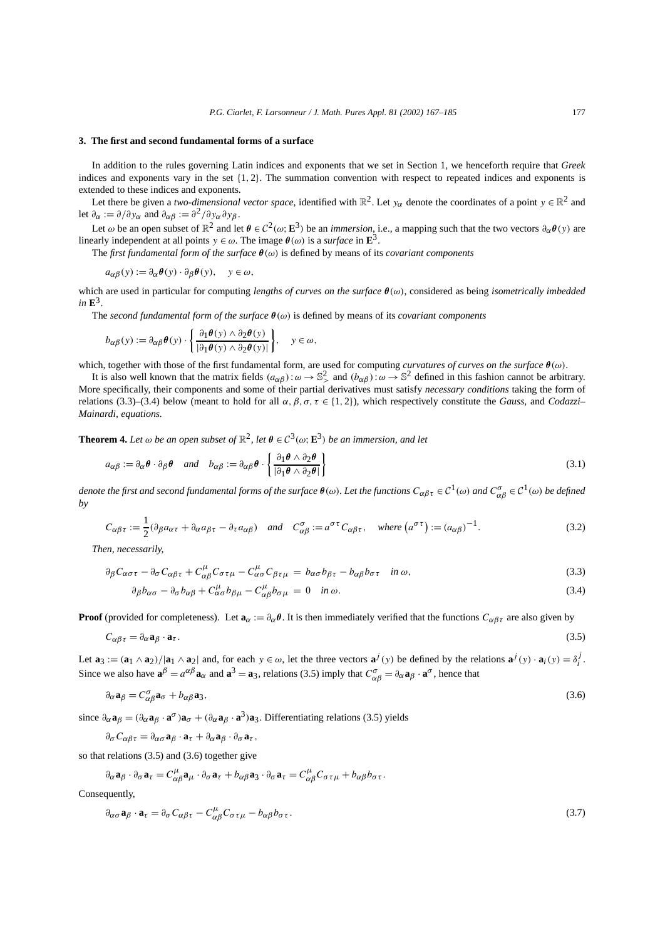## **3. The first and second fundamental forms of a surface**

In addition to the rules governing Latin indices and exponents that we set in Section 1, we henceforth require that *Greek* indices and exponents vary in the set {1*,* 2}. The summation convention with respect to repeated indices and exponents is extended to these indices and exponents.

Let there be given a *two-dimensional vector space*, identified with  $\mathbb{R}^2$ . Let  $y_\alpha$  denote the coordinates of a point  $y \in \mathbb{R}^2$  and let  $\partial_{\alpha} := \partial/\partial y_{\alpha}$  and  $\partial_{\alpha} \beta := \partial^2/\partial y_{\alpha} \partial y_{\beta}$ .

Let  $\omega$  be an open subset of  $\mathbb{R}^2$  and let  $\theta \in C^2(\omega; \mathbb{E}^3)$  be an *immersion*, i.e., a mapping such that the two vectors  $\partial_{\alpha} \theta(y)$  are linearly independent at all points  $y \in \omega$ . The image  $\theta(\omega)$  is a *surface* in  $\mathbf{E}^3$ .

The *first fundamental form of the surface θ(ω)* is defined by means of its *covariant components*

$$
a_{\alpha\beta}(y) := \partial_{\alpha}\theta(y) \cdot \partial_{\beta}\theta(y), \quad y \in \omega,
$$

which are used in particular for computing *lengths of curves on the surface θ(ω)*, considered as being *isometrically imbedded*  $in \mathbb{E}^3$ .

The *second fundamental form of the surface*  $\theta(\omega)$  is defined by means of its *covariant components* 

$$
b_{\alpha\beta}(y) := \partial_{\alpha\beta} \theta(y) \cdot \left\{ \frac{\partial_1 \theta(y) \wedge \partial_2 \theta(y)}{|\partial_1 \theta(y) \wedge \partial_2 \theta(y)|} \right\}, \quad y \in \omega,
$$

which, together with those of the first fundamental form, are used for computing *curvatures of curves on the surface θ(ω)*.

It is also well known that the matrix fields  $(a_{\alpha\beta})$ : $\omega \to \mathbb{S}^2$  and  $(b_{\alpha\beta})$ : $\omega \to \mathbb{S}^2$  defined in this fashion cannot be arbitrary. More specifically, their components and some of their partial derivatives must satisfy *necessary conditions* taking the form of relations (3.3)–(3.4) below (meant to hold for all  $\alpha$ ,  $\beta$ ,  $\sigma$ ,  $\tau \in \{1, 2\}$ ), which respectively constitute the *Gauss*, and *Codazzi*– *Mainardi, equations.*

**Theorem 4.** Let  $\omega$  be an open subset of  $\mathbb{R}^2$ , let  $\theta \in C^3(\omega; \mathbb{E}^3)$  be an immersion, and let

$$
a_{\alpha\beta} := \partial_{\alpha} \theta \cdot \partial_{\beta} \theta \quad and \quad b_{\alpha\beta} := \partial_{\alpha\beta} \theta \cdot \left\{ \frac{\partial_1 \theta \wedge \partial_2 \theta}{|\partial_1 \theta \wedge \partial_2 \theta|} \right\}
$$
(3.1)

*denote the first and second fundamental forms of the surface*  $\theta(\omega)$ *. Let the functions*  $C_{\alpha\beta\tau}\in{\cal C}^1(\omega)$  *and*  $C_{\alpha\beta}^\sigma\in{\cal C}^1(\omega)$  *be defined by*

$$
C_{\alpha\beta\tau} := \frac{1}{2} (\partial_{\beta} a_{\alpha\tau} + \partial_{\alpha} a_{\beta\tau} - \partial_{\tau} a_{\alpha\beta}) \quad \text{and} \quad C_{\alpha\beta}^{\sigma} := a^{\sigma\tau} C_{\alpha\beta\tau}, \quad \text{where } (a^{\sigma\tau}) := (a_{\alpha\beta})^{-1}.
$$
 (3.2)

*Then, necessarily,*

$$
\partial_{\beta} C_{\alpha\sigma\tau} - \partial_{\sigma} C_{\alpha\beta\tau} + C_{\alpha\beta}^{\mu} C_{\sigma\tau\mu} - C_{\alpha\sigma}^{\mu} C_{\beta\tau\mu} = b_{\alpha\sigma} b_{\beta\tau} - b_{\alpha\beta} b_{\sigma\tau} \quad \text{in } \omega,
$$
\n(3.3)

$$
\partial_{\beta}b_{\alpha\sigma} - \partial_{\sigma}b_{\alpha\beta} + C_{\alpha\sigma}^{\mu}b_{\beta\mu} - C_{\alpha\beta}^{\mu}b_{\sigma\mu} = 0 \quad \text{in } \omega. \tag{3.4}
$$

**Proof** (provided for completeness). Let  $\mathbf{a}_{\alpha} := \partial_{\alpha} \theta$ . It is then immediately verified that the functions  $C_{\alpha\beta\tau}$  are also given by

$$
C_{\alpha\beta\tau} = \partial_{\alpha} \mathbf{a}_{\beta} \cdot \mathbf{a}_{\tau}.\tag{3.5}
$$

Let  $\mathbf{a}_3 := (\mathbf{a}_1 \wedge \mathbf{a}_2)/|\mathbf{a}_1 \wedge \mathbf{a}_2|$  and, for each  $y \in \omega$ , let the three vectors  $\mathbf{a}^j(y)$  be defined by the relations  $\mathbf{a}^j(y) \cdot \mathbf{a}_i(y) = \delta_i^j$ . Since we also have  $\mathbf{a}^{\beta} = a^{\alpha\beta} \mathbf{a}_{\alpha}$  and  $\mathbf{a}^3 = \mathbf{a}_3$ , relations (3.5) imply that  $C^{\sigma}_{\alpha\beta} = \partial_{\alpha} \mathbf{a}_{\beta} \cdot \mathbf{a}^{\sigma}$ , hence that

$$
\partial_{\alpha} \mathbf{a}_{\beta} = C^{\sigma}_{\alpha\beta} \mathbf{a}_{\sigma} + b_{\alpha\beta} \mathbf{a}_{3},\tag{3.6}
$$

since  $\partial_{\alpha} \mathbf{a}_{\beta} = (\partial_{\alpha} \mathbf{a}_{\beta} \cdot \mathbf{a}^{\sigma})\mathbf{a}_{\sigma} + (\partial_{\alpha} \mathbf{a}_{\beta} \cdot \mathbf{a}^3)\mathbf{a}_3$ . Differentiating relations (3.5) yields

*∂σCαβτ* = *∂ασ* **a***<sup>β</sup>* · **a***<sup>τ</sup>* + *∂α***a***<sup>β</sup>* · *∂σ* **a***<sup>τ</sup> ,*

so that relations (3.5) and (3.6) together give

$$
\partial_{\alpha} \mathbf{a}_{\beta} \cdot \partial_{\sigma} \mathbf{a}_{\tau} = C^{\mu}_{\alpha\beta} \mathbf{a}_{\mu} \cdot \partial_{\sigma} \mathbf{a}_{\tau} + b_{\alpha\beta} \mathbf{a}_{3} \cdot \partial_{\sigma} \mathbf{a}_{\tau} = C^{\mu}_{\alpha\beta} C_{\sigma\tau\mu} + b_{\alpha\beta} b_{\sigma\tau}.
$$

Consequently,

$$
\partial_{\alpha\sigma} \mathbf{a}_{\beta} \cdot \mathbf{a}_{\tau} = \partial_{\sigma} C_{\alpha\beta\tau} - C_{\alpha\beta}^{\mu} C_{\sigma\tau\mu} - b_{\alpha\beta} b_{\sigma\tau}.
$$
\n(3.7)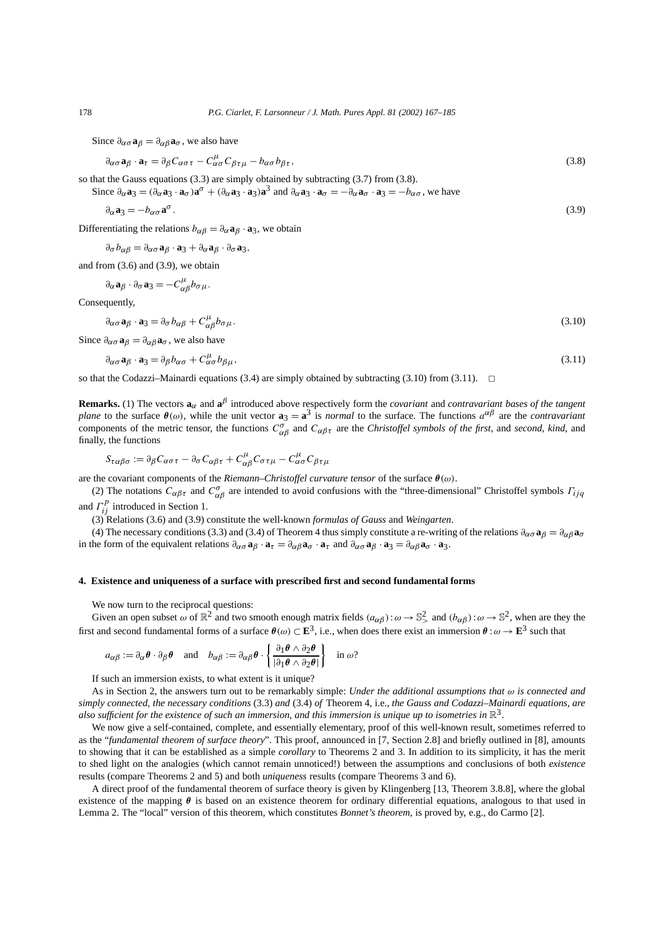Since  $\partial_{\alpha\sigma} \mathbf{a}_{\beta} = \partial_{\alpha\beta} \mathbf{a}_{\sigma}$ , we also have

$$
\partial_{\alpha\sigma} \mathbf{a}_{\beta} \cdot \mathbf{a}_{\tau} = \partial_{\beta} C_{\alpha\sigma\tau} - C_{\alpha\sigma}^{\mu} C_{\beta\tau\mu} - b_{\alpha\sigma} b_{\beta\tau},
$$
\n(3.8)

so that the Gauss equations (3.3) are simply obtained by subtracting (3.7) from (3.8).

Since  $\partial_{\alpha} \mathbf{a}_3 = (\partial_{\alpha} \mathbf{a}_3 \cdot \mathbf{a}_{\sigma}) \mathbf{a}^{\sigma} + (\partial_{\alpha} \mathbf{a}_3 \cdot \mathbf{a}_3) \mathbf{a}^3$  and  $\partial_{\alpha} \mathbf{a}_3 \cdot \mathbf{a}_{\sigma} = -\partial_{\alpha} \mathbf{a}_{\sigma} \cdot \mathbf{a}_3 = -b_{\alpha \sigma}$ , we have

$$
\partial_{\alpha} \mathbf{a}_3 = -b_{\alpha \sigma} \mathbf{a}^{\sigma} \,. \tag{3.9}
$$

Differentiating the relations  $b_{\alpha\beta} = \partial_{\alpha} \mathbf{a}_{\beta} \cdot \mathbf{a}_3$ , we obtain

 $∂σb<sub>αβ</sub> = ∂<sub>ασ</sub> **a**<sub>β</sub> · **a**<sub>3</sub> + ∂<sub>α</sub> **a**<sub>β</sub> · ∂<sub>σ</sub> **a**<sub>3</sub>,$ 

and from (3.6) and (3.9), we obtain

$$
\partial_{\alpha} \mathbf{a}_{\beta} \cdot \partial_{\sigma} \mathbf{a}_{3} = -C^{\mu}_{\alpha\beta} b_{\sigma\mu}.
$$

Consequently,

$$
\partial_{\alpha\sigma} \mathbf{a}_{\beta} \cdot \mathbf{a}_{3} = \partial_{\sigma} b_{\alpha\beta} + C_{\alpha\beta}^{\mu} b_{\sigma\mu}.
$$
\n(3.10)

Since  $\partial_{\alpha\sigma} \mathbf{a}_{\beta} = \partial_{\alpha\beta} \mathbf{a}_{\sigma}$ , we also have

$$
\partial_{\alpha\sigma} \mathbf{a}_{\beta} \cdot \mathbf{a}_{3} = \partial_{\beta} b_{\alpha\sigma} + C_{\alpha\sigma}^{\mu} b_{\beta\mu},\tag{3.11}
$$

so that the Codazzi–Mainardi equations (3.4) are simply obtained by subtracting (3.10) from (3.11).  $\Box$ 

**Remarks.** (1) The vectors  $\mathbf{a}_{\alpha}$  and  $\mathbf{a}^{\beta}$  introduced above respectively form the *covariant* and *contravariant* bases of the tangent *plane* to the surface  $\theta(\omega)$ , while the unit vector  $\mathbf{a}_3 = \mathbf{a}^3$  is *normal* to the surface. The functions  $a^{\alpha\beta}$  are the *contravariant* components of the metric tensor, the functions  $C^{\sigma}_{\alpha\beta}$  and  $C_{\alpha\beta\tau}$  are the *Christoffel symbols of the first*, and *second, kind*, and finally, the functions

$$
S_{\tau\alpha\beta\sigma} := \partial_{\beta} C_{\alpha\sigma\tau} - \partial_{\sigma} C_{\alpha\beta\tau} + C_{\alpha\beta}^{\mu} C_{\sigma\tau\mu} - C_{\alpha\sigma}^{\mu} C_{\beta\tau\mu}
$$

are the covariant components of the *Riemann–Christoffel curvature tensor* of the surface *θ(ω)*.

(2) The notations  $C_{\alpha\beta\tau}$  and  $C_{\alpha\beta}^{\sigma}$  are intended to avoid confusions with the "three-dimensional" Christoffel symbols  $\Gamma_{ijq}$ and  $\Gamma_{ij}^p$  introduced in Section 1.

(3) Relations (3.6) and (3.9) constitute the well-known *formulas of Gauss* and *Weingarten*.

(4) The necessary conditions (3.3) and (3.4) of Theorem 4 thus simply constitute a re-writing of the relations  $\partial_{\alpha\sigma}a_{\beta} = \partial_{\alpha\beta}a_{\sigma}$ in the form of the equivalent relations  $\partial_{\alpha\sigma} a_{\beta} \cdot a_{\tau} = \partial_{\alpha\beta} a_{\sigma} \cdot a_{\tau}$  and  $\partial_{\alpha\sigma} a_{\beta} \cdot a_{3} = \partial_{\alpha\beta} a_{\sigma} \cdot a_{3}$ .

## **4. Existence and uniqueness of a surface with prescribed first and second fundamental forms**

We now turn to the reciprocal questions:

Given an open subset  $\omega$  of  $\mathbb{R}^2$  and two smooth enough matrix fields  $(a_{\alpha\beta})$ : $\omega \to \mathbb{S}^2$ , and  $(b_{\alpha\beta})$ : $\omega \to \mathbb{S}^2$ , when are they the first and second fundamental forms of a surface  $\theta(\omega) \subset \mathbb{E}^3$ , i.e., when does there exist an immersion  $\theta : \omega \to \mathbb{E}^3$  such that

$$
a_{\alpha\beta} := \partial_{\alpha} \theta \cdot \partial_{\beta} \theta \quad \text{and} \quad b_{\alpha\beta} := \partial_{\alpha\beta} \theta \cdot \left\{ \frac{\partial_1 \theta \wedge \partial_2 \theta}{|\partial_1 \theta \wedge \partial_2 \theta|} \right\} \quad \text{in } \omega?
$$

If such an immersion exists, to what extent is it unique?

As in Section 2, the answers turn out to be remarkably simple: *Under the additional assumptions that ω is connected and simply connected, the necessary conditions* (3.3) *and* (3.4) *of* Theorem 4, i.e., *the Gauss and Codazzi–Mainardi equations, are also sufficient for the existence of such an immersion, and this immersion is unique up to isometries in*  $\mathbb{R}^3$ .

We now give a self-contained, complete, and essentially elementary, proof of this well-known result, sometimes referred to as the "*fundamental theorem of surface theory*". This proof, announced in [7, Section 2.8] and briefly outlined in [8], amounts to showing that it can be established as a simple *corollary* to Theorems 2 and 3. In addition to its simplicity, it has the merit to shed light on the analogies (which cannot remain unnoticed!) between the assumptions and conclusions of both *existence* results (compare Theorems 2 and 5) and both *uniqueness* results (compare Theorems 3 and 6).

A direct proof of the fundamental theorem of surface theory is given by Klingenberg [13, Theorem 3.8.8], where the global existence of the mapping *θ* is based on an existence theorem for ordinary differential equations, analogous to that used in Lemma 2. The "local" version of this theorem, which constitutes *Bonnet's theorem*, is proved by, e.g., do Carmo [2].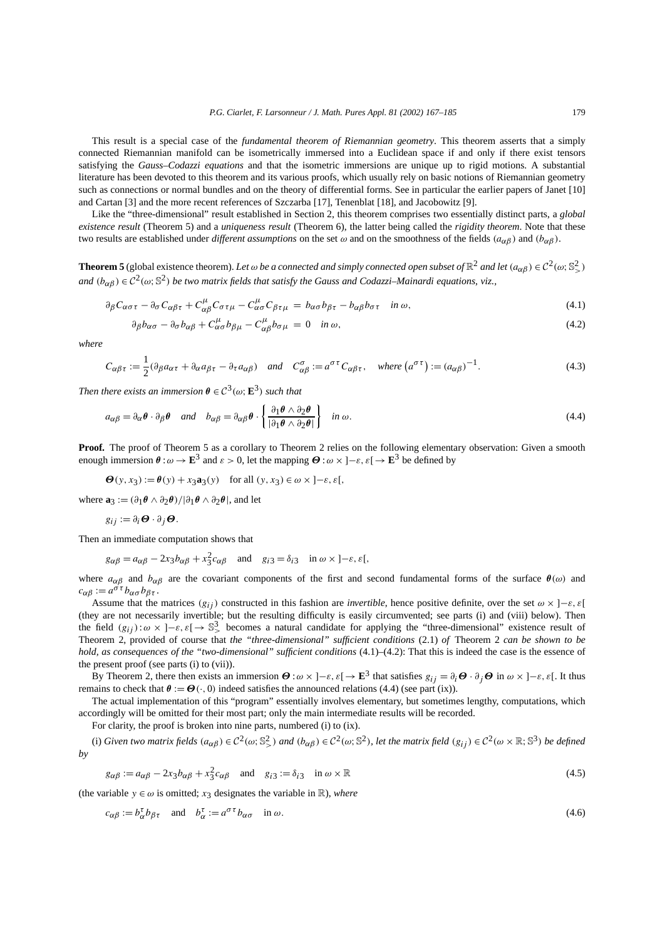This result is a special case of the *fundamental theorem of Riemannian geometry*. This theorem asserts that a simply connected Riemannian manifold can be isometrically immersed into a Euclidean space if and only if there exist tensors satisfying the *Gauss–Codazzi equations* and that the isometric immersions are unique up to rigid motions. A substantial literature has been devoted to this theorem and its various proofs, which usually rely on basic notions of Riemannian geometry such as connections or normal bundles and on the theory of differential forms. See in particular the earlier papers of Janet [10] and Cartan [3] and the more recent references of Szczarba [17], Tenenblat [18], and Jacobowitz [9].

Like the "three-dimensional" result established in Section 2, this theorem comprises two essentially distinct parts, a *global existence result* (Theorem 5) and a *uniqueness result* (Theorem 6), the latter being called the *rigidity theorem*. Note that these two results are established under *different assumptions* on the set  $\omega$  and on the smoothness of the fields  $(a_{\alpha\beta})$  and  $(b_{\alpha\beta})$ .

**Theorem 5** (global existence theorem). Let  $\omega$  be a connected and simply connected open subset of  $\mathbb{R}^2$  and let  $(a_{\alpha\beta}) \in C^2(\omega; \mathbb{S}^2)$ *and*  $(b_{\alpha\beta}) \in C^2(\omega; \mathbb{S}^2)$  *be two matrix fields that satisfy the Gauss and Codazzi–Mainardi equations, viz.,* 

$$
\partial_{\beta} C_{\alpha\sigma\tau} - \partial_{\sigma} C_{\alpha\beta\tau} + C_{\alpha\beta}^{\mu} C_{\sigma\tau\mu} - C_{\alpha\sigma}^{\mu} C_{\beta\tau\mu} = b_{\alpha\sigma} b_{\beta\tau} - b_{\alpha\beta} b_{\sigma\tau} \quad \text{in } \omega,
$$
\n
$$
(4.1)
$$

$$
\partial_{\beta}b_{\alpha\sigma} - \partial_{\sigma}b_{\alpha\beta} + C^{\mu}_{\alpha\sigma}b_{\beta\mu} - C^{\mu}_{\alpha\beta}b_{\sigma\mu} = 0 \quad \text{in } \omega,
$$
\n(4.2)

*where*

$$
C_{\alpha\beta\tau} := \frac{1}{2} (\partial_{\beta} a_{\alpha\tau} + \partial_{\alpha} a_{\beta\tau} - \partial_{\tau} a_{\alpha\beta}) \quad \text{and} \quad C_{\alpha\beta}^{\sigma} := a^{\sigma\tau} C_{\alpha\beta\tau}, \quad \text{where } (a^{\sigma\tau}) := (a_{\alpha\beta})^{-1}.
$$
 (4.3)

*Then there exists an immersion*  $\theta \in C^3(\omega; \mathbb{E}^3)$  *such that* 

$$
a_{\alpha\beta} = \partial_{\alpha}\theta \cdot \partial_{\beta}\theta \quad and \quad b_{\alpha\beta} = \partial_{\alpha\beta}\theta \cdot \left\{ \frac{\partial_1 \theta \wedge \partial_2 \theta}{|\partial_1 \theta \wedge \partial_2 \theta|} \right\} \quad in \ \omega. \tag{4.4}
$$

**Proof.** The proof of Theorem 5 as a corollary to Theorem 2 relies on the following elementary observation: Given a smooth enough immersion  $\theta : \omega \to \mathbf{E}^3$  and  $\varepsilon > 0$ , let the mapping  $\Theta : \omega \times [-\varepsilon, \varepsilon] \to \mathbf{E}^3$  be defined by

 $Θ(y, x_3) := θ(y) + x_3$ **a**<sub>3</sub>*(y)* for all  $(y, x_3) ∈ ω × ] − ε$ , *ε*[*,* 

where  $\mathbf{a}_3 := (\partial_1 \theta \wedge \partial_2 \theta) / |\partial_1 \theta \wedge \partial_2 \theta|$ , and let

$$
g_{ij} := \partial_i \boldsymbol{\Theta} \cdot \partial_j \boldsymbol{\Theta}.
$$

Then an immediate computation shows that

$$
g_{\alpha\beta} = a_{\alpha\beta} - 2x_3b_{\alpha\beta} + x_3^2c_{\alpha\beta}
$$
 and  $g_{i3} = \delta_{i3}$  in  $\omega \times (-\varepsilon, \varepsilon)$ ,

where  $a_{\alpha\beta}$  and  $b_{\alpha\beta}$  are the covariant components of the first and second fundamental forms of the surface  $\theta(\omega)$  and  $c_{\alpha\beta} := a^{\sigma\tau} b_{\alpha\sigma} b_{\beta\tau}$ .

Assume that the matrices  $(g_{ij})$  constructed in this fashion are *invertible*, hence positive definite, over the set  $\omega \times ]-\varepsilon, \varepsilon[$ (they are not necessarily invertible; but the resulting difficulty is easily circumvented; see parts (i) and (viii) below). Then the field  $(g_{ij})$ : $\omega \times$  ] $-\varepsilon$ ,  $\varepsilon$ [ $\rightarrow$   $\mathbb{S}^3$  becomes a natural candidate for applying the "three-dimensional" existence result of Theorem 2, provided of course that *the "three-dimensional" sufficient conditions* (2.1) *of* Theorem 2 *can be shown to be hold, as consequences of the "two-dimensional" sufficient conditions* (4.1)–(4.2): That this is indeed the case is the essence of the present proof (see parts (i) to (vii)).

By Theorem 2, there then exists an immersion *Θ* :*ω* × ]−*ε, ε*[→ **E**<sup>3</sup> that satisfies *gij* = *∂iΘ* · *∂j Θ* in *ω* × ]−*ε, ε*[. It thus remains to check that  $\theta := \mathbf{\Theta}(\cdot, 0)$  indeed satisfies the announced relations (4.4) (see part (ix)).

The actual implementation of this "program" essentially involves elementary, but sometimes lengthy, computations, which accordingly will be omitted for their most part; only the main intermediate results will be recorded.

For clarity, the proof is broken into nine parts, numbered (i) to (ix).

(i) Given two matrix fields  $(a_{\alpha\beta}) \in C^2(\omega; \mathbb{S}^2)$  and  $(b_{\alpha\beta}) \in C^2(\omega; \mathbb{S}^2)$ , let the matrix field  $(g_{ij}) \in C^2(\omega \times \mathbb{R}; \mathbb{S}^3)$  be defined *by*

$$
g_{\alpha\beta} := a_{\alpha\beta} - 2x_3 b_{\alpha\beta} + x_3^2 c_{\alpha\beta} \quad \text{and} \quad g_{i3} := \delta_{i3} \quad \text{in } \omega \times \mathbb{R} \tag{4.5}
$$

(the variable  $y \in \omega$  is omitted;  $x_3$  designates the variable in R), *where* 

$$
c_{\alpha\beta} := b_{\alpha}^{\tau} b_{\beta\tau} \quad \text{and} \quad b_{\alpha}^{\tau} := a^{\sigma\tau} b_{\alpha\sigma} \quad \text{in } \omega.
$$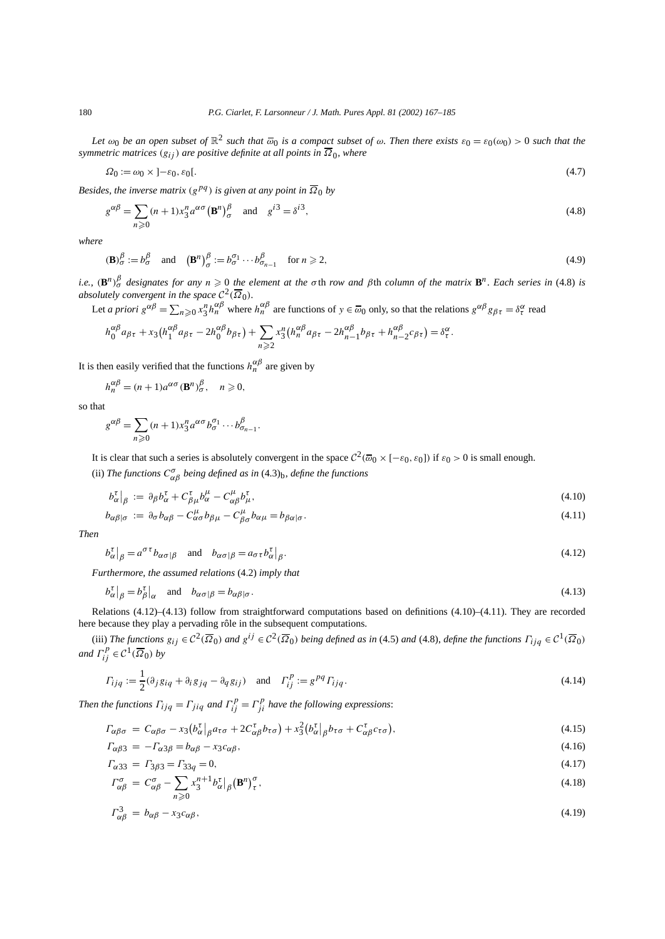*Let*  $\omega_0$  *be an open subset of*  $\mathbb{R}^2$  *such that*  $\overline{\omega_0}$  *is a compact subset of*  $\omega$ *. Then there exists*  $\varepsilon_0 = \varepsilon_0(\omega_0) > 0$  *such that the symmetric matrices*  $(g_{ij})$  *are positive definite at all points in*  $\overline{\Omega}_0$ *, where* 

$$
\Omega_0 := \omega_0 \times ]-\varepsilon_0, \varepsilon_0[.\tag{4.7}
$$

*Besides, the inverse matrix*  $(g^{pq})$  *is given at any point in*  $\overline{\Omega}_0$  *by* 

$$
g^{\alpha\beta} = \sum_{n\geqslant 0} (n+1)x_3^n a^{\alpha\sigma} (\mathbf{B}^n)_\sigma^\beta \quad \text{and} \quad g^{i3} = \delta^{i3},\tag{4.8}
$$

*where*

$$
(\mathbf{B})^{\beta}_{\sigma} := b^{\beta}_{\sigma} \quad \text{and} \quad (\mathbf{B}^{n})^{\beta}_{\sigma} := b^{\sigma_{1}}_{\sigma} \cdots b^{\beta}_{\sigma_{n-1}} \quad \text{for } n \geqslant 2,
$$
\n
$$
(4.9)
$$

i.e.,  $(\mathbf{B}^n)_{\sigma}^{\beta}$  designates for any  $n \geqslant 0$  the element at the  $\sigma$ th row and  $\beta$ th column of the matrix  $\mathbf{B}^n$ . Each series in (4.8) is *absolutely convergent in the space*  $C^2(\overline{\Omega}_0)$ *.* 

Let *a priori*  $g^{\alpha\beta} = \sum_{n\geq 0} x_3^n h_n^{\alpha\beta}$  where  $h_n^{\alpha\beta}$  are functions of  $y \in \overline{\omega}_0$  only, so that the relations  $g^{\alpha\beta} g_{\beta\tau} = \delta_\tau^\alpha$  read

$$
h_0^{\alpha\beta}a_{\beta\tau} + x_3(h_1^{\alpha\beta}a_{\beta\tau} - 2h_0^{\alpha\beta}b_{\beta\tau}) + \sum_{n\geqslant 2} x_3^n (h_n^{\alpha\beta}a_{\beta\tau} - 2h_{n-1}^{\alpha\beta}b_{\beta\tau} + h_{n-2}^{\alpha\beta}c_{\beta\tau}) = \delta_\tau^\alpha.
$$

It is then easily verified that the functions  $h_n^{\alpha\beta}$  are given by

$$
h_n^{\alpha\beta} = (n+1)a^{\alpha\sigma}(\mathbf{B}^n)_{\sigma}^{\beta}, \quad n \geq 0,
$$

so that

$$
g^{\alpha\beta} = \sum_{n\geqslant 0} (n+1)x_3^n a^{\alpha\sigma} b_{\sigma}^{\sigma_1} \cdots b_{\sigma_{n-1}}^{\beta}.
$$

It is clear that such a series is absolutely convergent in the space  $C^2(\overline{\omega}_0 \times [-\epsilon_0, \epsilon_0])$  if  $\epsilon_0 > 0$  is small enough.

(ii) *The functions*  $C^{\sigma}_{\alpha\beta}$  *being defined as in* (4.3)<sub>b</sub>, *define the functions* 

$$
b_{\alpha}^{\tau}|_{\beta} := \partial_{\beta} b_{\alpha}^{\tau} + C_{\beta\mu}^{\tau} b_{\alpha}^{\mu} - C_{\alpha\beta}^{\mu} b_{\mu}^{\tau}, \qquad (4.10)
$$

$$
b_{\alpha\beta|\sigma} := \partial_{\sigma} b_{\alpha\beta} - C_{\alpha\sigma}^{\mu} b_{\beta\mu} - C_{\beta\sigma}^{\mu} b_{\alpha\mu} = b_{\beta\alpha|\sigma}.
$$
\n(4.11)

*Then*

$$
b^{\tau}_{\alpha}|_{\beta} = a^{\sigma \tau} b_{\alpha \sigma | \beta} \quad \text{and} \quad b_{\alpha \sigma | \beta} = a_{\sigma \tau} b^{\tau}_{\alpha}|_{\beta}.
$$
 (4.12)

*Furthermore, the assumed relations* (4.2) *imply that*

$$
b_{\alpha}^{\tau}|_{\beta} = b_{\beta}^{\tau}|_{\alpha} \quad \text{and} \quad b_{\alpha\sigma|\beta} = b_{\alpha\beta|\sigma}.
$$

Relations (4.12)–(4.13) follow from straightforward computations based on definitions (4.10)–(4.11). They are recorded here because they play a pervading rôle in the subsequent computations.

(iii) The functions  $g_{ij} \in C^2(\overline{\Omega}_0)$  and  $g^{ij} \in C^2(\overline{\Omega}_0)$  being defined as in (4.5) and (4.8), define the functions  $\Gamma_{ijq} \in C^1(\overline{\Omega}_0)$ *and*  $\Gamma_{ij}^p \in C^1(\overline{\Omega}_0)$  *by* 

$$
\Gamma_{ijq} := \frac{1}{2} (\partial_j g_{iq} + \partial_i g_{jq} - \partial_q g_{ij}) \quad \text{and} \quad \Gamma_{ij}^p := g^{pq} \Gamma_{ijq}.
$$
\n(4.14)

*Then the functions*  $\Gamma_{ijq} = \Gamma_{jiq}$  *and*  $\Gamma_{ij}^p = \Gamma_{ji}^p$  *have the following expressions:* 

$$
\Gamma_{\alpha\beta\sigma} = C_{\alpha\beta\sigma} - x_3 \left( b_{\alpha}^{\tau} \middle|_{\beta} a_{\tau\sigma} + 2C_{\alpha\beta}^{\tau} b_{\tau\sigma} \right) + x_3^2 \left( b_{\alpha}^{\tau} \middle|_{\beta} b_{\tau\sigma} + C_{\alpha\beta}^{\tau} c_{\tau\sigma} \right),\tag{4.15}
$$

$$
\Gamma_{\alpha\beta3} = -\Gamma_{\alpha3\beta} = b_{\alpha\beta} - x_3 c_{\alpha\beta},\tag{4.16}
$$

$$
\Gamma_{\alpha 33} = \Gamma_{3\beta 3} = \Gamma_{33q} = 0,\tag{4.17}
$$

$$
\Gamma^{\sigma}_{\alpha\beta} = C^{\sigma}_{\alpha\beta} - \sum_{n\geqslant 0} x_3^{n+1} b^{\tau}_{\alpha} \big|_{\beta} (\mathbf{B}^n)^{\sigma}_{\tau},\tag{4.18}
$$

$$
\Gamma_{\alpha\beta}^3 = b_{\alpha\beta} - x_3 c_{\alpha\beta},\tag{4.19}
$$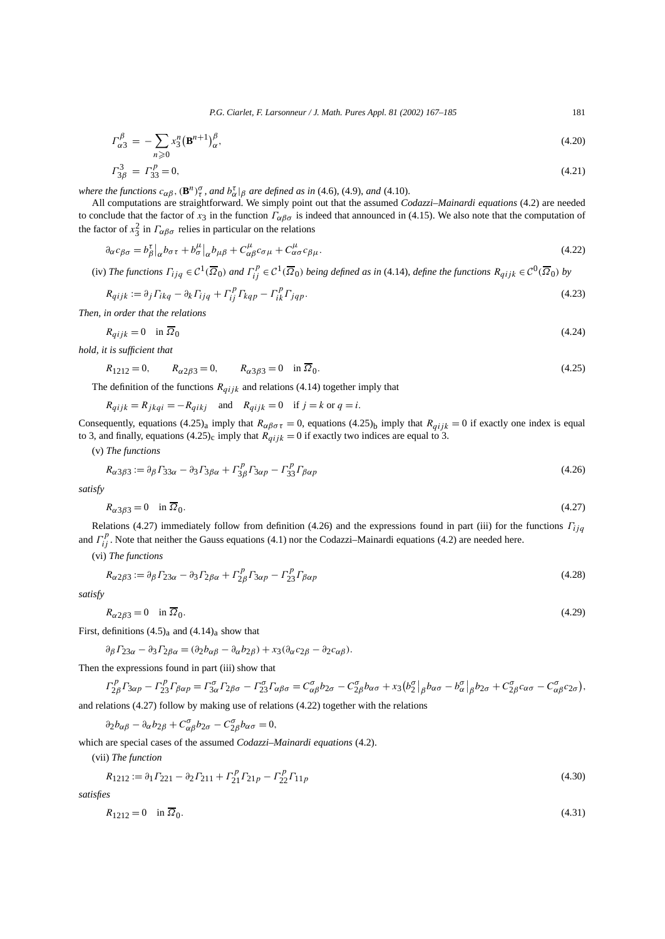$$
\Gamma^{\beta}_{\alpha 3} = -\sum_{n\geqslant 0} x_3^n (\mathbf{B}^{n+1})^{\beta}_{\alpha},\tag{4.20}
$$

$$
\Gamma_{3\beta}^3 = \Gamma_{33}^p = 0,\tag{4.21}
$$

*where the functions*  $c_{\alpha\beta}$ ,  $(\mathbf{B}^n)^\sigma_\tau$ , *and*  $b^\tau_\alpha|_\beta$  *are defined as in* (4.6), (4.9), *and* (4.10).

All computations are straightforward. We simply point out that the assumed *Codazzi–Mainardi equations* (4.2) are needed to conclude that the factor of  $x_3$  in the function  $\Gamma_{\alpha\beta\sigma}$  is indeed that announced in (4.15). We also note that the computation of the factor of  $x_3^2$  in  $\Gamma_{\alpha\beta\sigma}$  relies in particular on the relations

$$
\partial_{\alpha} c_{\beta \sigma} = b_{\beta}^{\tau} \big|_{\alpha} b_{\sigma \tau} + b_{\sigma}^{\mu} \big|_{\alpha} b_{\mu \beta} + C_{\alpha \beta}^{\mu} c_{\sigma \mu} + C_{\alpha \sigma}^{\mu} c_{\beta \mu}.
$$
\n(4.22)

(iv) The functions  $\Gamma_{ijq}\in\mathcal{C}^1(\overline{\Omega}_0)$  and  $\Gamma_{ij}^p\in\mathcal{C}^1(\overline{\Omega}_0)$  being defined as in (4.14), define the functions  $R_{qijk}\in\mathcal{C}^0(\overline{\Omega}_0)$  by

$$
R_{qijk} := \partial_j \Gamma_{ikq} - \partial_k \Gamma_{ijq} + \Gamma_{ij}^p \Gamma_{kqp} - \Gamma_{ik}^p \Gamma_{jqp}.
$$
\n
$$
(4.23)
$$

*Then, in order that the relations*

$$
R_{qijk} = 0 \quad \text{in } \overline{\Omega}_0 \tag{4.24}
$$

*hold, it is sufficient that*

 $R_{1212} = 0$ ,  $R_{\alpha 2\beta 3} = 0$ ,  $R_{\alpha 3\beta 3} = 0$  in  $\overline{Q}_0$ . (4.25)

The definition of the functions  $R_{qijk}$  and relations (4.14) together imply that

$$
R_{qijk} = R_{jkqi} = -R_{qikj}
$$
 and  $R_{qijk} = 0$  if  $j = k$  or  $q = i$ .

Consequently, equations (4.25)<sub>a</sub> imply that  $R_{\alpha\beta\sigma\tau} = 0$ , equations (4.25)<sub>b</sub> imply that  $R_{qijk} = 0$  if exactly one index is equal to 3, and finally, equations (4.25)<sub>c</sub> imply that  $R_{qijk} = 0$  if exactly two indices are equal to 3.

(v) *The functions*

$$
R_{\alpha\beta\beta\beta} := \partial_{\beta} \Gamma_{33\alpha} - \partial_{3} \Gamma_{3\beta\alpha} + \Gamma_{3\beta}^p \Gamma_{3\alpha p} - \Gamma_{33}^p \Gamma_{\beta\alpha p} \tag{4.26}
$$

*satisfy*

$$
R_{\alpha 3\beta 3} = 0 \quad \text{in } \overline{\Omega}_0. \tag{4.27}
$$

Relations (4.27) immediately follow from definition (4.26) and the expressions found in part (iii) for the functions *Γij q* and  $\Gamma_{ij}^p$ . Note that neither the Gauss equations (4.1) nor the Codazzi–Mainardi equations (4.2) are needed here.

(vi) *The functions*

$$
R_{\alpha 2\beta 3} := \partial_{\beta} \Gamma_{23\alpha} - \partial_3 \Gamma_{2\beta \alpha} + \Gamma_{2\beta}^p \Gamma_{3\alpha p} - \Gamma_{23}^p \Gamma_{\beta \alpha p} \tag{4.28}
$$

*satisfy*

$$
R_{\alpha 2\beta 3} = 0 \quad \text{in } \overline{\Omega}_0. \tag{4.29}
$$

First, definitions  $(4.5)$ <sub>a</sub> and  $(4.14)$ <sub>a</sub> show that

$$
\partial_{\beta} \Gamma_{23\alpha} - \partial_{3} \Gamma_{2\beta\alpha} = (\partial_{2} b_{\alpha\beta} - \partial_{\alpha} b_{2\beta}) + x_{3} (\partial_{\alpha} c_{2\beta} - \partial_{2} c_{\alpha\beta}).
$$

Then the expressions found in part (iii) show that

$$
\Gamma_{2\beta}^p \Gamma_{3\alpha p} - \Gamma_{23}^p \Gamma_{\beta\alpha p} = \Gamma_{3\alpha}^{\sigma} \Gamma_{2\beta \sigma} - \Gamma_{23}^{\sigma} \Gamma_{\alpha \beta \sigma} = C_{\alpha \beta}^{\sigma} b_{2\sigma} - C_{2\beta}^{\sigma} b_{\alpha \sigma} + x_3 (b_2^{\sigma})_{\beta} b_{\alpha \sigma} - b_{\alpha}^{\sigma} |_{\beta} b_{2\sigma} + C_{2\beta}^{\sigma} c_{\alpha \sigma} - C_{\alpha \beta}^{\sigma} c_{2\sigma}),
$$

and relations (4.27) follow by making use of relations (4.22) together with the relations

*<sup>∂</sup>*2*bαβ* <sup>−</sup> *∂αb*2*<sup>β</sup>* <sup>+</sup> *<sup>C</sup><sup>σ</sup> αβb*2*<sup>σ</sup>* <sup>−</sup> *<sup>C</sup><sup>σ</sup>* <sup>2</sup>*βbασ* = 0*,*

which are special cases of the assumed *Codazzi–Mainardi equations* (4.2).

(vii) *The function*

$$
R_{1212} := \partial_1 \Gamma_{221} - \partial_2 \Gamma_{211} + \Gamma_{21}^p \Gamma_{21p} - \Gamma_{22}^p \Gamma_{11p} \tag{4.30}
$$

*satisfies*

$$
R_{1212} = 0 \quad \text{in } \overline{\Omega}_0. \tag{4.31}
$$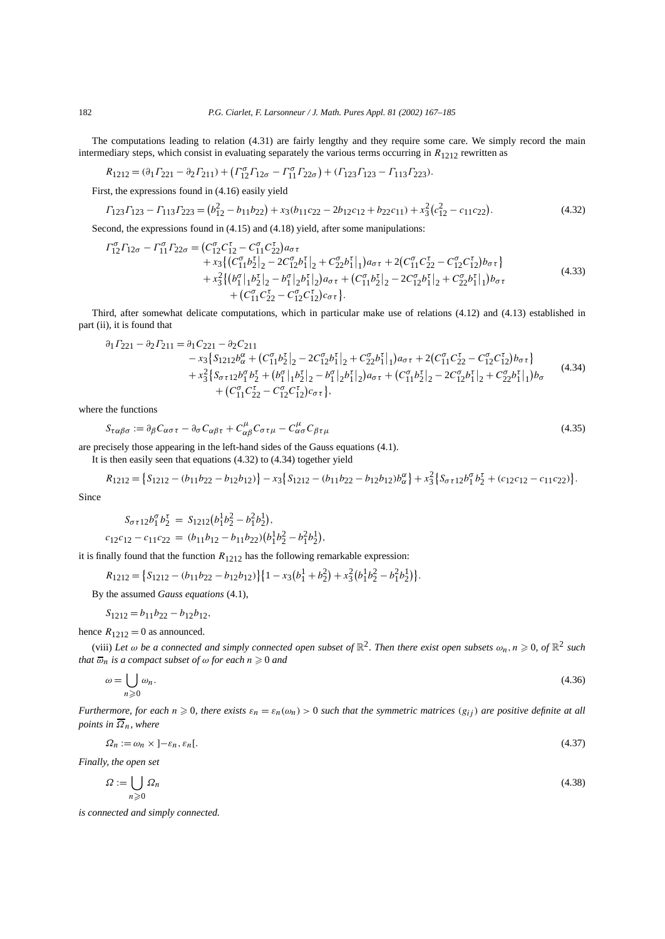The computations leading to relation (4.31) are fairly lengthy and they require some care. We simply record the main intermediary steps, which consist in evaluating separately the various terms occurring in  $R_{1212}$  rewritten as

$$
R_{1212} = (\partial_1 \Gamma_{221} - \partial_2 \Gamma_{211}) + (\Gamma_{12}^{\sigma} \Gamma_{12\sigma} - \Gamma_{11}^{\sigma} \Gamma_{22\sigma}) + (\Gamma_{123} \Gamma_{123} - \Gamma_{113} \Gamma_{223}).
$$

First, the expressions found in (4.16) easily yield

$$
\Gamma_{123}\Gamma_{123} - \Gamma_{113}\Gamma_{223} = (b_{12}^2 - b_{11}b_{22}) + x_3(b_{11}c_{22} - 2b_{12}c_{12} + b_{22}c_{11}) + x_3^2(c_{12}^2 - c_{11}c_{22}).
$$
\n(4.32)

Second, the expressions found in (4.15) and (4.18) yield, after some manipulations:

$$
\begin{split} \Gamma_{12}^{\sigma} \Gamma_{12\sigma} - \Gamma_{11}^{\sigma} \Gamma_{22\sigma} &= \left( C_{12}^{\sigma} C_{12}^{\tau} - C_{11}^{\sigma} C_{22}^{\tau} \right) a_{\sigma \tau} \\ &+ x_3 \left\{ \left( C_{11}^{\sigma} b_2^{\tau} \right]_2 - 2 C_{12}^{\sigma} b_1^{\tau} \right]_2 + C_{22}^{\sigma} b_1^{\tau} \right|_1 \right) a_{\sigma \tau} + 2 \left( C_{11}^{\sigma} C_{22}^{\tau} - C_{12}^{\sigma} C_{12}^{\tau} \right) b_{\sigma \tau} \\ &+ x_3^2 \left\{ \left( b_1^{\sigma} \right]_1 b_2^{\tau} \right]_2 - b_1^{\sigma} \left|_{2} b_1^{\tau} \right|_2 \right\} a_{\sigma \tau} + \left( C_{11}^{\sigma} b_2^{\tau} \right]_2 - 2 C_{12}^{\sigma} b_1^{\tau} \left|_{2} + C_{22}^{\sigma} b_1^{\tau} \right|_1 \right) b_{\sigma \tau} \\ &+ \left( C_{11}^{\sigma} C_{22}^{\tau} - C_{12}^{\sigma} C_{12}^{\tau} \right) c_{\sigma \tau} \right\} . \end{split} \tag{4.33}
$$

Third, after somewhat delicate computations, which in particular make use of relations (4.12) and (4.13) established in part (ii), it is found that

$$
\partial_1 \Gamma_{221} - \partial_2 \Gamma_{211} = \partial_1 C_{221} - \partial_2 C_{211} \n- x_3 \{ S_{1212} b_{\alpha}^{\alpha} + (C_{11}^{\sigma} b_2^{\tau})_2 - 2C_{12}^{\sigma} b_1^{\tau} |_{2} + C_{22}^{\sigma} b_1^{\tau} |_{1}) a_{\sigma \tau} + 2 (C_{11}^{\sigma} C_{22}^{\tau} - C_{12}^{\sigma} C_{12}^{\tau}) b_{\sigma \tau} \} \n+ x_3^2 \{ S_{\sigma \tau 12} b_1^{\sigma} b_2^{\tau} + (b_1^{\sigma} |_{1} b_2^{\tau} |_{2} - b_1^{\sigma} |_{2} b_1^{\tau} |_{2}) a_{\sigma \tau} + (C_{11}^{\sigma} b_2^{\tau} |_{2} - 2C_{12}^{\sigma} b_1^{\tau} |_{2} + C_{22}^{\sigma} b_1^{\tau} |_{1}) b_{\sigma} \n+ (C_{11}^{\sigma} C_{22}^{\tau} - C_{12}^{\sigma} C_{12}^{\tau} ) c_{\sigma \tau} \},
$$
\n(4.34)

where the functions

$$
S_{\tau\alpha\beta\sigma} := \partial_{\beta} C_{\alpha\sigma\tau} - \partial_{\sigma} C_{\alpha\beta\tau} + C_{\alpha\beta}^{\mu} C_{\sigma\tau\mu} - C_{\alpha\sigma}^{\mu} C_{\beta\tau\mu}
$$
\n
$$
\tag{4.35}
$$

are precisely those appearing in the left-hand sides of the Gauss equations (4.1).

It is then easily seen that equations (4.32) to (4.34) together yield

$$
R_{1212} = \{ S_{1212} - (b_{11}b_{22} - b_{12}b_{12}) \} - x_3 \{ S_{1212} - (b_{11}b_{22} - b_{12}b_{12})b_{\alpha}^{\alpha} \} + x_3^2 \{ S_{\sigma \tau 12}b_1^{\sigma}b_2^{\tau} + (c_{12}c_{12} - c_{11}c_{22}) \}.
$$

Since

$$
S_{\sigma\tau 12}b_1^{\sigma}b_2^{\tau} = S_{1212}(b_1^1b_2^2 - b_1^2b_2^1),
$$
  

$$
c_{12}c_{12} - c_{11}c_{22} = (b_{11}b_{12} - b_{11}b_{22})(b_1^1b_2^2 - b_1^2b_2^1),
$$

it is finally found that the function  $R_{1212}$  has the following remarkable expression:

$$
R_{1212} = \left\{ S_{1212} - (b_{11}b_{22} - b_{12}b_{12}) \right\} \left\{ 1 - x_3(b_1^1 + b_2^2) + x_3^2(b_1^1b_2^2 - b_1^2b_2^1) \right\}.
$$

By the assumed *Gauss equations* (4.1),

$$
S_{1212} = b_{11}b_{22} - b_{12}b_{12},
$$

hence  $R_{1212} = 0$  as announced.

(viii) Let  $\omega$  be a connected and simply connected open subset of  $\mathbb{R}^2$ . Then there exist open subsets  $\omega_n$ ,  $n \geqslant 0$ , of  $\mathbb{R}^2$  such *that*  $\overline{\omega}_n$  *is a compact subset of*  $\omega$  *for each n*  $\geqslant$  0 *and* 

$$
\omega = \bigcup_{n \geqslant 0} \omega_n. \tag{4.36}
$$

*Furthermore, for each*  $n \ge 0$ , there exists  $\varepsilon_n = \varepsilon_n(\omega_n) > 0$  such that the symmetric matrices  $(g_{ij})$  are positive definite at all *points in*  $\overline{\Omega}_n$ *, where* 

$$
\Omega_n := \omega_n \times ]- \varepsilon_n, \varepsilon_n[. \tag{4.37}
$$

*Finally, the open set*

$$
\Omega := \bigcup_{n \geqslant 0} \Omega_n \tag{4.38}
$$

*is connected and simply connected.*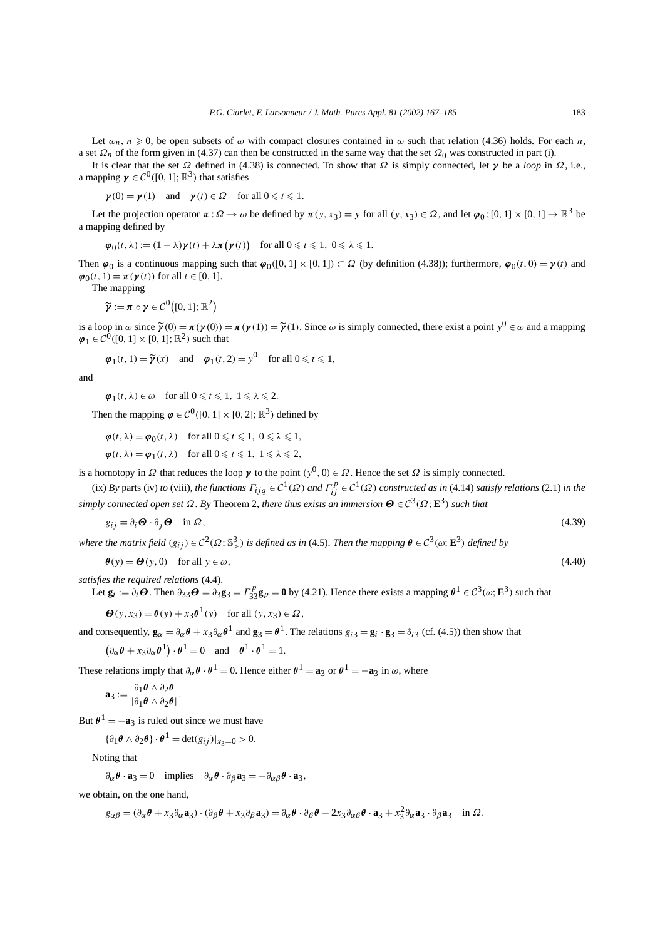Let  $\omega_n$ ,  $n \ge 0$ , be open subsets of  $\omega$  with compact closures contained in  $\omega$  such that relation (4.36) holds. For each *n*, a set  $\Omega_n$  of the form given in (4.37) can then be constructed in the same way that the set  $\Omega_0$  was constructed in part (i).

It is clear that the set *Ω* defined in (4.38) is connected. To show that *Ω* is simply connected, let *γ* be a *loop* in *Ω*, i.e., a mapping  $\gamma \in C^0([0, 1]; \mathbb{R}^3)$  that satisfies

$$
\gamma(0) = \gamma(1)
$$
 and  $\gamma(t) \in \Omega$  for all  $0 \le t \le 1$ .

Let the projection operator  $\pi : \Omega \to \omega$  be defined by  $\pi(y, x_3) = y$  for all  $(y, x_3) \in \Omega$ , and let  $\varphi_0 : [0, 1] \times [0, 1] \to \mathbb{R}^3$  be a mapping defined by

$$
\boldsymbol{\varphi}_0(t,\lambda) := (1-\lambda)\boldsymbol{\gamma}(t) + \lambda\boldsymbol{\pi}\big(\boldsymbol{\gamma}(t)\big) \quad \text{for all } 0 \leq t \leq 1, \ 0 \leq \lambda \leq 1.
$$

Then  $\varphi_0$  is a continuous mapping such that  $\varphi_0([0,1] \times [0,1]) \subset \Omega$  (by definition (4.38)); furthermore,  $\varphi_0(t,0) = \gamma(t)$  and  $\varphi_0(t, 1) = \pi(\gamma(t))$  for all  $t \in [0, 1]$ .

The mapping

$$
\widetilde{\boldsymbol{\gamma}} := \boldsymbol{\pi} \circ \boldsymbol{\gamma} \in \mathcal{C}^0([0,1];\mathbb{R}^2)
$$

is a loop in  $\omega$  since  $\tilde{\mathbf{\gamma}}(0) = \pi(\mathbf{\gamma}(0)) = \pi(\mathbf{\gamma}(1)) = \tilde{\mathbf{\gamma}}(1)$ . Since  $\omega$  is simply connected, there exist a point  $y^0 \in \omega$  and a mapping  $\varphi_1 \in C^0([0, 1] \times [0, 1]; \mathbb{R}^2)$  such that

$$
\varphi_1(t, 1) = \widetilde{\gamma}(x)
$$
 and  $\varphi_1(t, 2) = y^0$  for all  $0 \le t \le 1$ ,

and

$$
\varphi_1(t, \lambda) \in \omega
$$
 for all  $0 \le t \le 1, 1 \le \lambda \le 2$ .

Then the mapping  $\varphi \in C^0([0, 1] \times [0, 2]; \mathbb{R}^3)$  defined by

$$
\boldsymbol{\varphi}(t,\lambda) = \boldsymbol{\varphi}_0(t,\lambda) \quad \text{for all } 0 \leq t \leq 1, \ 0 \leq \lambda \leq 1,
$$

 $\varphi(t, \lambda) = \varphi_1(t, \lambda)$  for all  $0 \le t \le 1, 1 \le \lambda \le 2$ ,

is a homotopy in  $\Omega$  that reduces the loop  $\gamma$  to the point  $(y^0, 0) \in \Omega$ . Hence the set  $\Omega$  is simply connected.

(ix) *By* parts (iv) *to* (viii), *the functions*  $\Gamma_{ijq} \in C^1(\Omega)$  *and*  $\Gamma_{ij}^p \in C^1(\Omega)$  *constructed as in* (4.14) *satisfy relations* (2.1) *in the*  $s$ *imply connected open set*  $\Omega$ *. By* Theorem 2, *there thus exists an immersion*  $\Theta \in C^3(\Omega; \mathbb{E}^3)$  *such that* 

$$
g_{ij} = \partial_i \boldsymbol{\Theta} \cdot \partial_j \boldsymbol{\Theta} \quad \text{in } \Omega,
$$
\n
$$
(4.39)
$$

*where the matrix field*  $(g_{ij}) \in C^2(\Omega; \mathbb{S}^3)$  *is defined as in* (4.5). *Then the mapping*  $\theta \in C^3(\omega; \mathbf{E}^3)$  *defined by* 

$$
\boldsymbol{\theta}(\mathbf{y}) = \boldsymbol{\Theta}(\mathbf{y}, 0) \quad \text{for all } \mathbf{y} \in \omega,\tag{4.40}
$$

*satisfies the required relations* (4.4).

Let  $\mathbf{g}_i := \partial_i \boldsymbol{\Theta}$ . Then  $\partial_{33} \boldsymbol{\Theta} = \partial_3 \mathbf{g}_3 = \Gamma_{33}^p \mathbf{g}_p = \mathbf{0}$  by (4.21). Hence there exists a mapping  $\boldsymbol{\theta}^1 \in C^3(\omega; \mathbf{E}^3)$  such that

$$
\Theta(y, x_3) = \theta(y) + x_3 \theta^1(y) \quad \text{for all } (y, x_3) \in \Omega,
$$

and consequently,  $\mathbf{g}_{\alpha} = \partial_{\alpha} \theta + x_3 \partial_{\alpha} \theta^1$  and  $\mathbf{g}_3 = \theta^1$ . The relations  $g_{i3} = \mathbf{g}_i \cdot \mathbf{g}_3 = \delta_{i3}$  (cf. (4.5)) then show that

$$
(\partial_{\alpha} \theta + x_3 \partial_{\alpha} \theta^1) \cdot \theta^1 = 0
$$
 and  $\theta^1 \cdot \theta^1 = 1$ .

These relations imply that  $\partial_{\alpha} \theta \cdot \theta^{1} = 0$ . Hence either  $\theta^{1} = \mathbf{a}_3$  or  $\theta^{1} = -\mathbf{a}_3$  in  $\omega$ , where

$$
\mathbf{a}_3 := \frac{\partial_1 \theta \wedge \partial_2 \theta}{|\partial_1 \theta \wedge \partial_2 \theta|}.
$$

But  $\theta^1 = -\mathbf{a}_3$  is ruled out since we must have

$$
\{\partial_1 \theta \wedge \partial_2 \theta\} \cdot \theta^1 = \det(g_{ij})|_{x_3=0} > 0.
$$

Noting that

$$
\partial_{\alpha} \theta \cdot \mathbf{a}_3 = 0 \quad \text{implies} \quad \partial_{\alpha} \theta \cdot \partial_{\beta} \mathbf{a}_3 = -\partial_{\alpha \beta} \theta \cdot \mathbf{a}_3,
$$

we obtain, on the one hand,

$$
g_{\alpha\beta} = (\partial_{\alpha}\boldsymbol{\theta} + x_3\partial_{\alpha}\mathbf{a}_3) \cdot (\partial_{\beta}\boldsymbol{\theta} + x_3\partial_{\beta}\mathbf{a}_3) = \partial_{\alpha}\boldsymbol{\theta} \cdot \partial_{\beta}\boldsymbol{\theta} - 2x_3\partial_{\alpha\beta}\boldsymbol{\theta} \cdot \mathbf{a}_3 + x_3^2\partial_{\alpha}\mathbf{a}_3 \cdot \partial_{\beta}\mathbf{a}_3 \quad \text{in } \Omega.
$$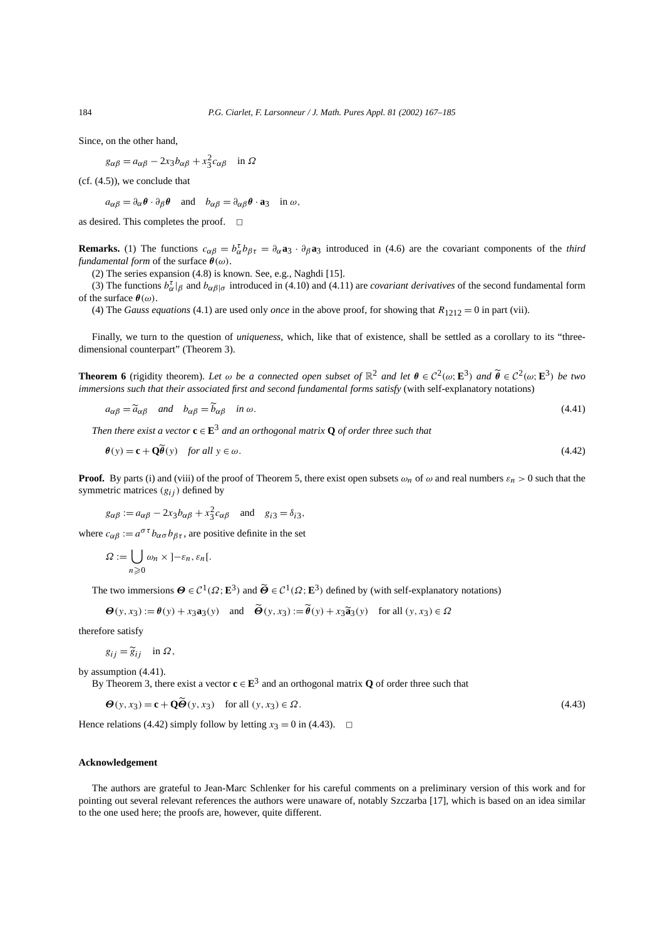Since, on the other hand,

$$
g_{\alpha\beta} = a_{\alpha\beta} - 2x_3 b_{\alpha\beta} + x_3^2 c_{\alpha\beta} \quad \text{in } \Omega
$$

(cf. (4.5)), we conclude that

 $a_{\alpha\beta} = \partial_{\alpha} \theta \cdot \partial_{\beta} \theta$  and  $b_{\alpha\beta} = \partial_{\alpha\beta} \theta \cdot \mathbf{a}_3$  in  $\omega$ ,

as desired. This completes the proof.  $\square$ 

**Remarks.** (1) The functions  $c_{\alpha\beta} = b_{\alpha}^{\dagger}b_{\beta\tau} = \partial_{\alpha}a_{3} \cdot \partial_{\beta}a_{3}$  introduced in (4.6) are the covariant components of the *third fundamental form* of the surface *θ(ω)*.

(2) The series expansion (4.8) is known. See, e.g., Naghdi [15].

(3) The functions  $b_{\alpha}^{\dagger}$  |*β* and  $b_{\alpha\beta}$ |*σ* introduced in (4.10) and (4.11) are *covariant derivatives* of the second fundamental form of the surface  $\theta(\omega)$ .

(4) The *Gauss equations* (4.1) are used only *once* in the above proof, for showing that  $R_{1212} = 0$  in part (vii).

Finally, we turn to the question of *uniqueness*, which, like that of existence, shall be settled as a corollary to its "threedimensional counterpart" (Theorem 3).

**Theorem 6** (rigidity theorem). Let  $\omega$  be a connected open subset of  $\mathbb{R}^2$  and let  $\theta \in C^2(\omega; \mathbf{E}^3)$  and  $\widetilde{\theta} \in C^2(\omega; \mathbf{E}^3)$  be two *immersions such that their associated first and second fundamental forms satisfy* (with self-explanatory notations)

$$
a_{\alpha\beta} = \tilde{a}_{\alpha\beta} \quad \text{and} \quad b_{\alpha\beta} = \tilde{b}_{\alpha\beta} \quad \text{in } \omega. \tag{4.41}
$$

*Then there exist a vector*  $\mathbf{c} \in \mathbf{E}^3$  *and an orthogonal matrix*  $\mathbf{Q}$  *of order three such that* 

$$
\boldsymbol{\theta}(\mathbf{y}) = \mathbf{c} + \mathbf{Q}\boldsymbol{\theta}(\mathbf{y}) \quad \text{for all } \mathbf{y} \in \omega. \tag{4.42}
$$

**Proof.** By parts (i) and (viii) of the proof of Theorem 5, there exist open subsets  $\omega_n$  of  $\omega$  and real numbers  $\varepsilon_n > 0$  such that the symmetric matrices  $(g_{ij})$  defined by

$$
g_{\alpha\beta} := a_{\alpha\beta} - 2x_3b_{\alpha\beta} + x_3^2c_{\alpha\beta}
$$
 and  $g_{i3} = \delta_{i3}$ ,

where  $c_{\alpha\beta} := a^{\sigma\tau} b_{\alpha\sigma} b_{\beta\tau}$ , are positive definite in the set

$$
\Omega := \bigcup_{n\geqslant 0} \omega_n \times \left]-\varepsilon_n, \varepsilon_n\right[.
$$

The two immersions  $\Theta \in C^1(\Omega; \mathbf{E}^3)$  and  $\widetilde{\Theta} \in C^1(\Omega; \mathbf{E}^3)$  defined by (with self-explanatory notations)

$$
\boldsymbol{\Theta}(y, x_3) := \boldsymbol{\theta}(y) + x_3 \mathbf{a}_3(y) \quad \text{and} \quad \boldsymbol{\Theta}(y, x_3) := \boldsymbol{\theta}(y) + x_3 \boldsymbol{\widetilde{a}}_3(y) \quad \text{for all } (y, x_3) \in \Omega
$$

therefore satisfy

$$
g_{ij} = \widetilde{g}_{ij} \quad \text{in } \Omega,
$$

by assumption (4.41).

By Theorem 3, there exist a vector  $\mathbf{c} \in \mathbf{E}^3$  and an orthogonal matrix **Q** of order three such that

$$
\Theta(y, x_3) = \mathbf{c} + \mathbf{Q}\tilde{\Theta}(y, x_3) \quad \text{for all } (y, x_3) \in \Omega.
$$
\n(4.43)

Hence relations (4.42) simply follow by letting  $x_3 = 0$  in (4.43).  $\Box$ 

## **Acknowledgement**

The authors are grateful to Jean-Marc Schlenker for his careful comments on a preliminary version of this work and for pointing out several relevant references the authors were unaware of, notably Szczarba [17], which is based on an idea similar to the one used here; the proofs are, however, quite different.